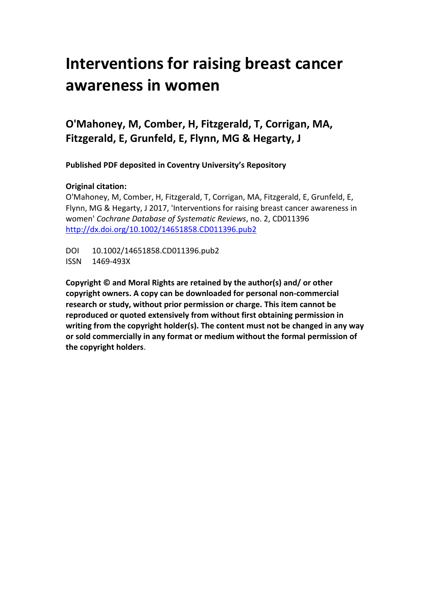# **Interventions for raising breast cancer awareness in women**

# **O'Mahoney, M, Comber, H, Fitzgerald, T, Corrigan, MA, Fitzgerald, E, Grunfeld, E, Flynn, MG & Hegarty, J**

**Published PDF deposited in Coventry University's Repository**

## **Original citation:**

O'Mahoney, M, Comber, H, Fitzgerald, T, Corrigan, MA, Fitzgerald, E, Grunfeld, E, Flynn, MG & Hegarty, J 2017, 'Interventions for raising breast cancer awareness in women' *Cochrane Database of Systematic Reviews*, no. 2, CD011396 [http://dx.doi.org/1](http://www.inbar.int/sites/default/files/Design%20Guide%20for%20Engineered%20Bahareque%20Housing_0.pdf)0.1002/14651858.CD011396.pub2

DOI 10.1002/14651858.CD011396.pub2 ISSN 1469-493X

**Copyright © and Moral Rights are retained by the author(s) and/ or other copyright owners. A copy can be downloaded for personal non-commercial research or study, without prior permission or charge. This item cannot be reproduced or quoted extensively from without first obtaining permission in writing from the copyright holder(s). The content must not be changed in any way or sold commercially in any format or medium without the formal permission of the copyright holders**.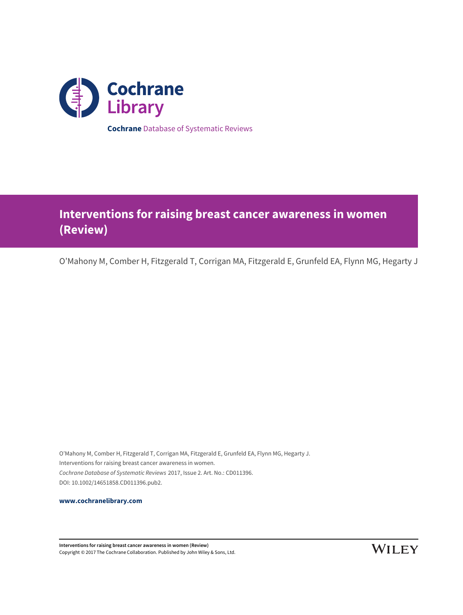

# **Interventions for raising breast cancer awareness in women (Review)**

O'Mahony M, Comber H, Fitzgerald T, Corrigan MA, Fitzgerald E, Grunfeld EA, Flynn MG, Hegarty J

O'Mahony M, Comber H, Fitzgerald T, Corrigan MA, Fitzgerald E, Grunfeld EA, Flynn MG, Hegarty J. Interventions for raising breast cancer awareness in women. Cochrane Database of Systematic Reviews 2017, Issue 2. Art. No.: CD011396. DOI: 10.1002/14651858.CD011396.pub2.

**[www.cochranelibrary.com](http://www.cochranelibrary.com)**

**Interventions for raising breast cancer awareness in women (Review)** Copyright © 2017 The Cochrane Collaboration. Published by John Wiley & Sons, Ltd.

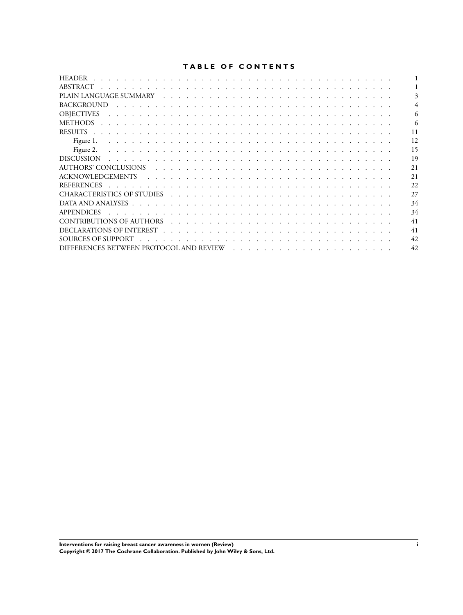## **TABLE OF CONTENTS**

| <b>HEADER</b>                                                                                                                                                                                                                                       |     |
|-----------------------------------------------------------------------------------------------------------------------------------------------------------------------------------------------------------------------------------------------------|-----|
| ABSTRACT                                                                                                                                                                                                                                            |     |
|                                                                                                                                                                                                                                                     |     |
| <b>BACKGROUND</b>                                                                                                                                                                                                                                   |     |
| <b>OBIECTIVES</b><br>and the contract of the contract of the contract of the contract of the contract of the contract of the contract of the contract of the contract of the contract of the contract of the contract of the contract of the contra | 6   |
| <b>METHODS</b><br>a constitution of the constitution of the constitution of the constitution of the constitution of the constitution                                                                                                                | 6   |
| <b>RESULTS</b><br>the contract of the contract of the contract of the contract of the contract of the contract of the contract of                                                                                                                   | 11  |
| Figure 1.<br>and the company of the company of the company of the company of the company of the company of the company of the company of the company of the company of the company of the company of the company of the company of the comp         | 12  |
| Figure 2.<br>a constitution of the constitution of the constitution of the constitution of the constitution of the constitution                                                                                                                     | 15  |
| <b>DISCUSSION</b><br><u>. In the second terms of the second terms of the second terms of the second terms of the second terms of the second</u>                                                                                                     | 19  |
| AUTHORS' CONCLUSIONS in the transition of the transition of the state of the state of the state of the state o                                                                                                                                      | 21  |
|                                                                                                                                                                                                                                                     | 2.1 |
| <b>REFERENCES</b><br>a constitution of the constitution of the constitution of the constitution of the constitution of the constitution of the constitution of the constitution of the constitution of the constitution of the constitution of the  | 22  |
|                                                                                                                                                                                                                                                     | 27  |
|                                                                                                                                                                                                                                                     | 34  |
| <b>APPENDICES</b><br>the contract of the contract of the contract of the contract of the contract of the contract of                                                                                                                                | 34  |
|                                                                                                                                                                                                                                                     | 41  |
|                                                                                                                                                                                                                                                     | 41  |
| SOURCES OF SUPPORT<br>and a constitution of the constitution of the constitution of the constitution of the constitution of the constitution of the constitution of the constitution of the constitution of the constitution of the constitution of | 42  |
|                                                                                                                                                                                                                                                     | 42  |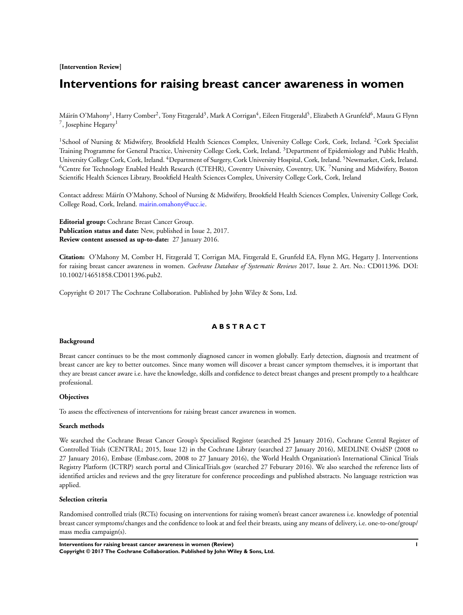**[Intervention Review]**

# **Interventions for raising breast cancer awareness in women**

Máirín O'Mahony<sup>1</sup>, Harry Comber<sup>2</sup>, Tony Fitzgerald<sup>3</sup>, Mark A Corrigan<sup>4</sup>, Eileen Fitzgerald<sup>5</sup>, Elizabeth A Grunfeld<sup>6</sup>, Maura G Flynn <sup>7</sup>, Josephine Hegarty<sup>1</sup>

<sup>1</sup> School of Nursing & Midwifery, Brookfield Health Sciences Complex, University College Cork, Cork, Ireland. <sup>2</sup>Cork Specialist Training Programme for General Practice, University College Cork, Cork, Ireland. <sup>3</sup>Department of Epidemiology and Public Health, University College Cork, Cork, Ireland. <sup>4</sup>Department of Surgery, Cork University Hospital, Cork, Ireland. <sup>5</sup>Newmarket, Cork, Ireland. <sup>6</sup>Centre for Technology Enabled Health Research (CTEHR), Coventry University, Coventry, UK. <sup>7</sup>Nursing and Midwifery, Boston Scientific Health Sciences Library, Brookfield Health Sciences Complex, University College Cork, Cork, Ireland

Contact address: Máirín O'Mahony, School of Nursing & Midwifery, Brookfield Health Sciences Complex, University College Cork, College Road, Cork, Ireland. [mairin.omahony@ucc.ie.](mailto:mairin.omahony@ucc.ie)

**Editorial group:** Cochrane Breast Cancer Group. **Publication status and date:** New, published in Issue 2, 2017. **Review content assessed as up-to-date:** 27 January 2016.

**Citation:** O'Mahony M, Comber H, Fitzgerald T, Corrigan MA, Fitzgerald E, Grunfeld EA, Flynn MG, Hegarty J. Interventions for raising breast cancer awareness in women. *Cochrane Database of Systematic Reviews* 2017, Issue 2. Art. No.: CD011396. DOI: 10.1002/14651858.CD011396.pub2.

Copyright © 2017 The Cochrane Collaboration. Published by John Wiley & Sons, Ltd.

## **A B S T R A C T**

#### **Background**

Breast cancer continues to be the most commonly diagnosed cancer in women globally. Early detection, diagnosis and treatment of breast cancer are key to better outcomes. Since many women will discover a breast cancer symptom themselves, it is important that they are breast cancer aware i.e. have the knowledge, skills and confidence to detect breast changes and present promptly to a healthcare professional.

#### **Objectives**

To assess the effectiveness of interventions for raising breast cancer awareness in women.

#### **Search methods**

We searched the Cochrane Breast Cancer Group's Specialised Register (searched 25 January 2016), Cochrane Central Register of Controlled Trials (CENTRAL; 2015, Issue 12) in the Cochrane Library (searched 27 January 2016), MEDLINE OvidSP (2008 to 27 January 2016), Embase (Embase.com, 2008 to 27 January 2016), the World Health Organization's International Clinical Trials Registry Platform (ICTRP) search portal and ClinicalTrials.gov (searched 27 Feburary 2016). We also searched the reference lists of identified articles and reviews and the grey literature for conference proceedings and published abstracts. No language restriction was applied.

#### **Selection criteria**

Randomised controlled trials (RCTs) focusing on interventions for raising women's breast cancer awareness i.e. knowledge of potential breast cancer symptoms/changes and the confidence to look at and feel their breasts, using any means of delivery, i.e. one-to-one/group/ mass media campaign(s).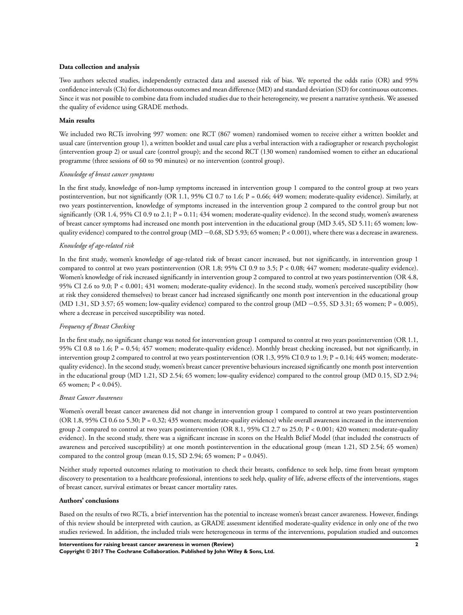#### **Data collection and analysis**

Two authors selected studies, independently extracted data and assessed risk of bias. We reported the odds ratio (OR) and 95% confidence intervals (CIs) for dichotomous outcomes and mean difference (MD) and standard deviation (SD) for continuous outcomes. Since it was not possible to combine data from included studies due to their heterogeneity, we present a narrative synthesis. We assessed the quality of evidence using GRADE methods.

#### **Main results**

We included two RCTs involving 997 women: one RCT (867 women) randomised women to receive either a written booklet and usual care (intervention group 1), a written booklet and usual care plus a verbal interaction with a radiographer or research psychologist (intervention group 2) or usual care (control group); and the second RCT (130 women) randomised women to either an educational programme (three sessions of 60 to 90 minutes) or no intervention (control group).

#### *Knowledge of breast cancer symptoms*

In the first study, knowledge of non-lump symptoms increased in intervention group 1 compared to the control group at two years postintervention, but not significantly (OR 1.1, 95% CI 0.7 to 1.6; P = 0.66; 449 women; moderate-quality evidence). Similarly, at two years postintervention, knowledge of symptoms increased in the intervention group 2 compared to the control group but not significantly (OR 1.4, 95% CI 0.9 to 2.1;  $P = 0.11$ ; 434 women; moderate-quality evidence). In the second study, women's awareness of breast cancer symptoms had increased one month post intervention in the educational group (MD 3.45, SD 5.11; 65 women; lowquality evidence) compared to the control group (MD −0.68, SD 5.93; 65 women; P < 0.001), where there was a decrease in awareness.

## *Knowledge of age-related risk*

In the first study, women's knowledge of age-related risk of breast cancer increased, but not significantly, in intervention group 1 compared to control at two years postintervention (OR 1.8; 95% CI 0.9 to 3.5;  $P < 0.08$ ; 447 women; moderate-quality evidence). Women's knowledge of risk increased significantly in intervention group 2 compared to control at two years postintervention (OR 4.8, 95% CI 2.6 to 9.0; P < 0.001; 431 women; moderate-quality evidence). In the second study, women's perceived susceptibility (how at risk they considered themselves) to breast cancer had increased significantly one month post intervention in the educational group (MD 1.31, SD 3.57; 65 women; low-quality evidence) compared to the control group (MD  $-0.55$ , SD 3.31; 65 women; P = 0.005), where a decrease in perceived susceptibility was noted.

#### *Frequency of Breast Checking*

In the first study, no significant change was noted for intervention group 1 compared to control at two years postintervention (OR 1.1, 95% CI 0.8 to 1.6;  $P = 0.54$ ; 457 women; moderate-quality evidence). Monthly breast checking increased, but not significantly, in intervention group 2 compared to control at two years postintervention (OR 1.3, 95% CI 0.9 to 1.9; P = 0.14; 445 women; moderatequality evidence). In the second study, women's breast cancer preventive behaviours increased significantly one month post intervention in the educational group (MD 1.21, SD 2.54; 65 women; low-quality evidence) compared to the control group (MD 0.15, SD 2.94; 65 women;  $P < 0.045$ ).

## *Breast Cancer Awareness*

Women's overall breast cancer awareness did not change in intervention group 1 compared to control at two years postintervention (OR 1.8, 95% CI 0.6 to 5.30; P = 0.32; 435 women; moderate-quality evidence) while overall awareness increased in the intervention group 2 compared to control at two years postintervention (OR 8.1, 95% CI 2.7 to 25.0; P < 0.001; 420 women; moderate-quality evidence). In the second study, there was a significant increase in scores on the Health Belief Model (that included the constructs of awareness and perceived susceptibility) at one month postintervention in the educational group (mean 1.21, SD 2.54; 65 women) compared to the control group (mean 0.15, SD 2.94; 65 women;  $P = 0.045$ ).

Neither study reported outcomes relating to motivation to check their breasts, confidence to seek help, time from breast symptom discovery to presentation to a healthcare professional, intentions to seek help, quality of life, adverse effects of the interventions, stages of breast cancer, survival estimates or breast cancer mortality rates.

#### **Authors' conclusions**

Based on the results of two RCTs, a brief intervention has the potential to increase women's breast cancer awareness. However, findings of this review should be interpreted with caution, as GRADE assessment identified moderate-quality evidence in only one of the two studies reviewed. In addition, the included trials were heterogeneous in terms of the interventions, population studied and outcomes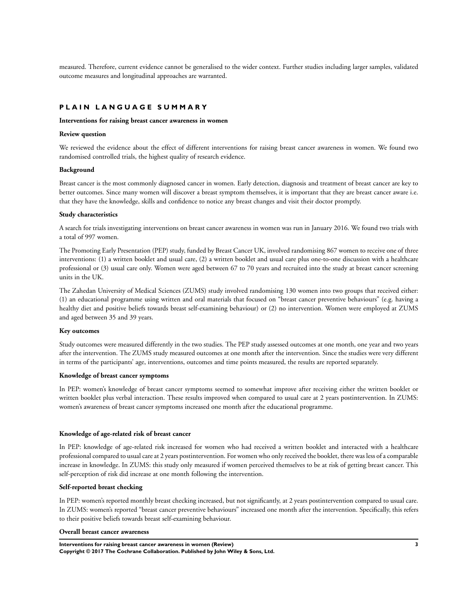measured. Therefore, current evidence cannot be generalised to the wider context. Further studies including larger samples, validated outcome measures and longitudinal approaches are warranted.

## **P L A I N L A N G U A G E S U M M A R Y**

#### **Interventions for raising breast cancer awareness in women**

#### **Review question**

We reviewed the evidence about the effect of different interventions for raising breast cancer awareness in women. We found two randomised controlled trials, the highest quality of research evidence.

#### **Background**

Breast cancer is the most commonly diagnosed cancer in women. Early detection, diagnosis and treatment of breast cancer are key to better outcomes. Since many women will discover a breast symptom themselves, it is important that they are breast cancer aware i.e. that they have the knowledge, skills and confidence to notice any breast changes and visit their doctor promptly.

#### **Study characteristics**

A search for trials investigating interventions on breast cancer awareness in women was run in January 2016. We found two trials with a total of 997 women.

The Promoting Early Presentation (PEP) study, funded by Breast Cancer UK, involved randomising 867 women to receive one of three interventions: (1) a written booklet and usual care, (2) a written booklet and usual care plus one-to-one discussion with a healthcare professional or (3) usual care only. Women were aged between 67 to 70 years and recruited into the study at breast cancer screening units in the UK.

The Zahedan University of Medical Sciences (ZUMS) study involved randomising 130 women into two groups that received either: (1) an educational programme using written and oral materials that focused on "breast cancer preventive behaviours" (e.g. having a healthy diet and positive beliefs towards breast self-examining behaviour) or (2) no intervention. Women were employed at ZUMS and aged between 35 and 39 years.

#### **Key outcomes**

Study outcomes were measured differently in the two studies. The PEP study assessed outcomes at one month, one year and two years after the intervention. The ZUMS study measured outcomes at one month after the intervention. Since the studies were very different in terms of the participants' age, interventions, outcomes and time points measured, the results are reported separately.

#### **Knowledge of breast cancer symptoms**

In PEP: women's knowledge of breast cancer symptoms seemed to somewhat improve after receiving either the written booklet or written booklet plus verbal interaction. These results improved when compared to usual care at 2 years postintervention. In ZUMS: women's awareness of breast cancer symptoms increased one month after the educational programme.

#### **Knowledge of age-related risk of breast cancer**

In PEP: knowledge of age-related risk increased for women who had received a written booklet and interacted with a healthcare professional compared to usual care at 2 years postintervention. For women who only received the booklet, there was less of a comparable increase in knowledge. In ZUMS: this study only measured if women perceived themselves to be at risk of getting breast cancer. This self-perception of risk did increase at one month following the intervention.

#### **Self-reported breast checking**

In PEP: women's reported monthly breast checking increased, but not significantly, at 2 years postintervention compared to usual care. In ZUMS: women's reported "breast cancer preventive behaviours" increased one month after the intervention. Specifically, this refers to their positive beliefs towards breast self-examining behaviour.

#### **Overall breast cancer awareness**

**Interventions for raising breast cancer awareness in women (Review) 3 Copyright © 2017 The Cochrane Collaboration. Published by John Wiley & Sons, Ltd.**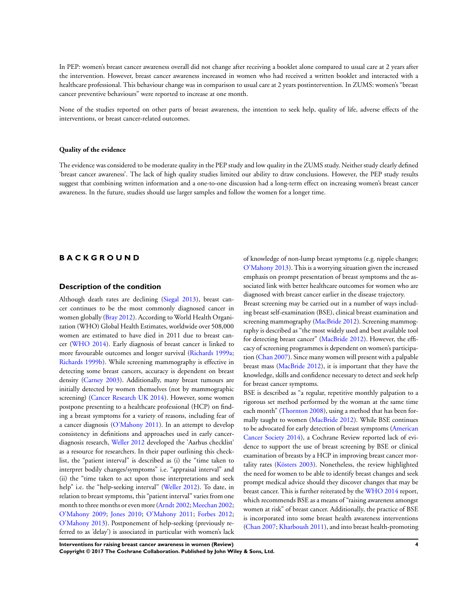In PEP: women's breast cancer awareness overall did not change after receiving a booklet alone compared to usual care at 2 years after the intervention. However, breast cancer awareness increased in women who had received a written booklet and interacted with a healthcare professional. This behaviour change was in comparison to usual care at 2 years postintervention. In ZUMS: women's "breast cancer preventive behaviours" were reported to increase at one month.

None of the studies reported on other parts of breast awareness, the intention to seek help, quality of life, adverse effects of the interventions, or breast cancer-related outcomes.

#### **Quality of the evidence**

The evidence was considered to be moderate quality in the PEP study and low quality in the ZUMS study. Neither study clearly defined 'breast cancer awareness'. The lack of high quality studies limited our ability to draw conclusions. However, the PEP study results suggest that combining written information and a one-to-one discussion had a long-term effect on increasing women's breast cancer awareness. In the future, studies should use larger samples and follow the women for a longer time.

## **B A C K G R O U N D**

#### **Description of the condition**

Although death rates are declining [\(Siegal 2013](#page-24-0)), breast cancer continues to be the most commonly diagnosed cancer in women globally [\(Bray 2012](#page-24-0)). According to World Health Organization (WHO) Global Health Estimates, worldwide over 508,000 women are estimated to have died in 2011 due to breast cancer ([WHO 2014\)](#page-24-0). Early diagnosis of breast cancer is linked to more favourable outcomes and longer survival [\(Richards 1999a;](#page-24-0) [Richards 1999b\)](#page-24-0). While screening mammography is effective in detecting some breast cancers, accuracy is dependent on breast density ([Carney 2003](#page-24-0)). Additionally, many breast tumours are initially detected by women themselves (not by mammographic screening) [\(Cancer Research UK 2014](#page-24-0)). However, some women postpone presenting to a healthcare professional (HCP) on finding a breast symptoms for a variety of reasons, including fear of a cancer diagnosis [\(O'Mahony 2011\)](#page-24-0). In an attempt to develop consistency in definitions and approaches used in early cancerdiagnosis research, [Weller 2012](#page-24-0) developed the 'Aarhus checklist' as a resource for researchers. In their paper outlining this checklist, the "patient interval" is described as (i) the "time taken to interpret bodily changes/symptoms" i.e. "appraisal interval" and (ii) the "time taken to act upon those interpretations and seek help" i.e. the "help-seeking interval" [\(Weller 2012\)](#page-24-0). To date, in relation to breast symptoms, this "patient interval" varies from one month to three months or even more ([Arndt 2002](#page-24-0); [Meechan 2002;](#page-24-0) [O'Mahony 2009;](#page-24-0) [Jones 2010](#page-24-0); [O'Mahony 2011;](#page-24-0) [Forbes 2012;](#page-24-0) [O'Mahony 2013](#page-24-0)). Postponement of help-seeking (previously referred to as 'delay') is associated in particular with women's lack

of knowledge of non-lump breast symptoms (e.g. nipple changes; [O'Mahony 2013\)](#page-24-0). This is a worrying situation given the increased emphasis on prompt presentation of breast symptoms and the associated link with better healthcare outcomes for women who are diagnosed with breast cancer earlier in the disease trajectory.

Breast screening may be carried out in a number of ways including breast self-examination (BSE), clinical breast examination and screening mammography [\(MacBride 2012](#page-24-0)). Screening mammography is described as "the most widely used and best available tool for detecting breast cancer" ([MacBride 2012](#page-24-0)). However, the efficacy of screening programmes is dependent on women's participation ([Chan 2007\)](#page-24-0). Since many women will present with a palpable breast mass [\(MacBride 2012](#page-24-0)), it is important that they have the knowledge, skills and confidence necessary to detect and seek help for breast cancer symptoms.

BSE is described as "a regular, repetitive monthly palpation to a rigorous set method performed by the woman at the same time each month" ([Thornton 2008](#page-24-0)), using a method that has been formally taught to women ([MacBride 2012](#page-24-0)). While BSE continues to be advocated for early detection of breast symptoms ([American](#page-24-0) [Cancer Society 2014\)](#page-24-0), a Cochrane Review reported lack of evidence to support the use of breast screening by BSE or clinical examination of breasts by a HCP in improving breast cancer mortality rates [\(Kösters 2003\)](#page-24-0). Nonetheless, the review highlighted the need for women to be able to identify breast changes and seek prompt medical advice should they discover changes that may be breast cancer. This is further reiterated by the [WHO 2014](#page-24-0) report, which recommends BSE as a means of "raising awareness amongst women at risk" of breast cancer. Additionally, the practice of BSE is incorporated into some breast health awareness interventions [\(Chan 2007](#page-24-0); [Kharboush 2011](#page-24-0)), and into breast health-promoting

**Interventions for raising breast cancer awareness in women (Review) 4 Copyright © 2017 The Cochrane Collaboration. Published by John Wiley & Sons, Ltd.**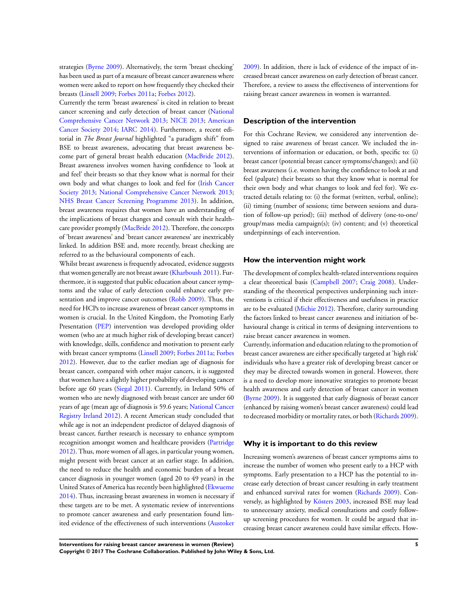strategies [\(Byrne 2009](#page-24-0)). Alternatively, the term 'breast checking' has been used as part of a measure of breast cancer awareness where women were asked to report on how frequently they checked their breasts ([Linsell 2009;](#page-24-0) [Forbes 2011a;](#page-24-0) [Forbes 2012](#page-24-0)).

Currently the term 'breast awareness' is cited in relation to breast cancer screening and early detection of breast cancer ([National](#page-24-0) [Comprehensive Cancer Network 2013;](#page-24-0) [NICE 2013](#page-24-0); [American](#page-24-0) [Cancer Society 2014;](#page-24-0) [IARC 2014](#page-24-0)). Furthermore, a recent editorial in *The Breast Journal* highlighted "a paradigm shift" from BSE to breast awareness, advocating that breast awareness become part of general breast health education ([MacBride 2012](#page-24-0)). Breast awareness involves women having confidence to 'look at and feel' their breasts so that they know what is normal for their own body and what changes to look and feel for ([Irish Cancer](#page-24-0) [Society 2013](#page-24-0); [National Comprehensive Cancer Network 2013;](#page-24-0) [NHS Breast Cancer Screening Programme 2013](#page-24-0)). In addition, breast awareness requires that women have an understanding of the implications of breast changes and consult with their healthcare provider promptly ([MacBride 2012](#page-24-0)). Therefore, the concepts of 'breast awareness' and 'breast cancer awareness' are inextricably linked. In addition BSE and, more recently, breast checking are referred to as the behavioural components of each.

Whilst breast awareness is frequently advocated, evidence suggests that women generally are not breast aware [\(Kharboush 2011](#page-24-0)). Furthermore, it is suggested that public education about cancer symptoms and the value of early detection could enhance early presentation and improve cancer outcomes [\(Robb 2009\)](#page-24-0). Thus, the need for HCPs to increase awareness of breast cancer symptoms in women is crucial. In the United Kingdom, the Promoting Early Presentation [\(PEP](#page-24-0)) intervention was developed providing older women (who are at much higher risk of developing breast cancer) with knowledge, skills, confidence and motivation to present early with breast cancer symptoms ([Linsell 2009](#page-24-0); [Forbes 2011a](#page-24-0); [Forbes](#page-24-0) [2012](#page-24-0)). However, due to the earlier median age of diagnosis for breast cancer, compared with other major cancers, it is suggested that women have a slightly higher probability of developing cancer before age 60 years ([Siegal 2011\)](#page-24-0). Currently, in Ireland 50% of women who are newly diagnosed with breast cancer are under 60 years of age (mean age of diagnosis is 59.6 years; [National Cancer](#page-24-0) [Registry Ireland 2012](#page-24-0)). A recent American study concluded that while age is not an independent predictor of delayed diagnosis of breast cancer, further research is necessary to enhance symptom recognition amongst women and healthcare providers ([Partridge](#page-24-0) [2012](#page-24-0)). Thus, more women of all ages, in particular young women, might present with breast cancer at an earlier stage. In addition, the need to reduce the health and economic burden of a breast cancer diagnosis in younger women (aged 20 to 49 years) in the United States of America has recently been highlighted [\(Ekwueme](#page-24-0) [2014](#page-24-0)). Thus, increasing breast awareness in women is necessary if these targets are to be met. A systematic review of interventions to promote cancer awareness and early presentation found limited evidence of the effectiveness of such interventions [\(Austoker](#page-24-0)

[2009](#page-24-0)). In addition, there is lack of evidence of the impact of increased breast cancer awareness on early detection of breast cancer. Therefore, a review to assess the effectiveness of interventions for raising breast cancer awareness in women is warranted.

#### **Description of the intervention**

For this Cochrane Review, we considered any intervention designed to raise awareness of breast cancer. We included the interventions of information or education, or both, specific to: (i) breast cancer (potential breast cancer symptoms/changes); and (ii) breast awareness (i.e. women having the confidence to look at and feel (palpate) their breasts so that they know what is normal for their own body and what changes to look and feel for). We extracted details relating to: (i) the format (written, verbal, online); (ii) timing (number of sessions; time between sessions and duration of follow-up period); (iii) method of delivery (one-to-one/ group/mass media campaign(s); (iv) content; and (v) theoretical underpinnings of each intervention.

## **How the intervention might work**

The development of complex health-related interventions requires a clear theoretical basis [\(Campbell 2007;](#page-24-0) [Craig 2008](#page-24-0)). Understanding of the theoretical perspectives underpinning such interventions is critical if their effectiveness and usefulness in practice are to be evaluated ([Michie 2012](#page-24-0)). Therefore, clarity surrounding the factors linked to breast cancer awareness and initiation of behavioural change is critical in terms of designing interventions to raise breast cancer awareness in women.

Currently, information and education relating to the promotion of breast cancer awareness are either specifically targeted at 'high risk' individuals who have a greater risk of developing breast cancer or they may be directed towards women in general. However, there is a need to develop more innovative strategies to promote breast health awareness and early detection of breast cancer in women [\(Byrne 2009\)](#page-24-0). It is suggested that early diagnosis of breast cancer (enhanced by raising women's breast cancer awareness) could lead to decreased morbidity or mortality rates, or both [\(Richards 2009](#page-24-0)).

#### **Why it is important to do this review**

Increasing women's awareness of breast cancer symptoms aims to increase the number of women who present early to a HCP with symptoms. Early presentation to a HCP has the potential to increase early detection of breast cancer resulting in early treatment and enhanced survival rates for women ([Richards 2009\)](#page-24-0). Conversely, as highlighted by [Kösters 2003,](#page-24-0) increased BSE may lead to unnecessary anxiety, medical consultations and costly followup screening procedures for women. It could be argued that increasing breast cancer awareness could have similar effects. How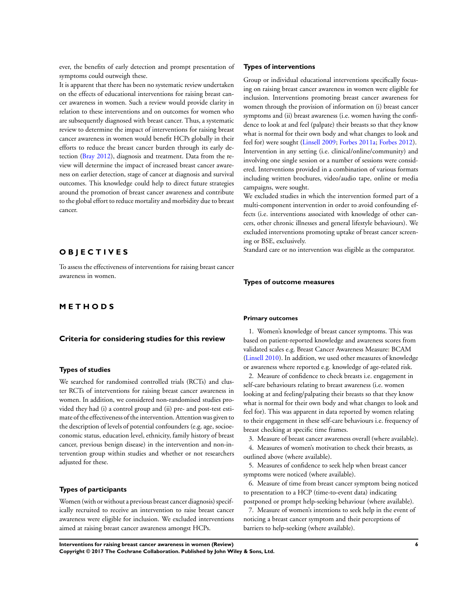ever, the benefits of early detection and prompt presentation of symptoms could outweigh these.

It is apparent that there has been no systematic review undertaken on the effects of educational interventions for raising breast cancer awareness in women. Such a review would provide clarity in relation to these interventions and on outcomes for women who are subsequently diagnosed with breast cancer. Thus, a systematic review to determine the impact of interventions for raising breast cancer awareness in women would benefit HCPs globally in their efforts to reduce the breast cancer burden through its early detection ([Bray 2012](#page-24-0)), diagnosis and treatment. Data from the review will determine the impact of increased breast cancer awareness on earlier detection, stage of cancer at diagnosis and survival outcomes. This knowledge could help to direct future strategies around the promotion of breast cancer awareness and contribute to the global effort to reduce mortality and morbidity due to breast cancer.

## **O B J E C T I V E S**

To assess the effectiveness of interventions for raising breast cancer awareness in women.

## **M E T H O D S**

#### **Criteria for considering studies for this review**

## **Types of studies**

We searched for randomised controlled trials (RCTs) and cluster RCTs of interventions for raising breast cancer awareness in women. In addition, we considered non-randomised studies provided they had (i) a control group and (ii) pre- and post-test estimate of the effectiveness of the intervention. Attention was given to the description of levels of potential confounders (e.g. age, socioeconomic status, education level, ethnicity, family history of breast cancer, previous benign disease) in the intervention and non-intervention group within studies and whether or not researchers adjusted for these.

## **Types of participants**

Women (with or without a previous breast cancer diagnosis) specifically recruited to receive an intervention to raise breast cancer awareness were eligible for inclusion. We excluded interventions aimed at raising breast cancer awareness amongst HCPs.

#### **Types of interventions**

Group or individual educational interventions specifically focusing on raising breast cancer awareness in women were eligible for inclusion. Interventions promoting breast cancer awareness for women through the provision of information on (i) breast cancer symptoms and (ii) breast awareness (i.e. women having the confidence to look at and feel (palpate) their breasts so that they know what is normal for their own body and what changes to look and feel for) were sought [\(Linsell 2009](#page-24-0); [Forbes 2011a;](#page-24-0) [Forbes 2012](#page-24-0)). Intervention in any setting (i.e. clinical/online/community) and involving one single session or a number of sessions were considered. Interventions provided in a combination of various formats including written brochures, video/audio tape, online or media campaigns, were sought.

We excluded studies in which the intervention formed part of a multi-component intervention in order to avoid confounding effects (i.e. interventions associated with knowledge of other cancers, other chronic illnesses and general lifestyle behaviours). We excluded interventions promoting uptake of breast cancer screening or BSE, exclusively.

Standard care or no intervention was eligible as the comparator.

#### **Types of outcome measures**

#### **Primary outcomes**

1. Women's knowledge of breast cancer symptoms. This was based on patient-reported knowledge and awareness scores from validated scales e.g. Breast Cancer Awareness Measure: BCAM [\(Linsell 2010](#page-24-0)). In addition, we used other measures of knowledge or awareness where reported e.g. knowledge of age-related risk.

2. Measure of confidence to check breasts i.e. engagement in self-care behaviours relating to breast awareness (i.e. women looking at and feeling/palpating their breasts so that they know what is normal for their own body and what changes to look and feel for). This was apparent in data reported by women relating to their engagement in these self-care behaviours i.e. frequency of breast checking at specific time frames.

3. Measure of breast cancer awareness overall (where available).

4. Measures of women's motivation to check their breasts, as outlined above (where available).

5. Measures of confidence to seek help when breast cancer symptoms were noticed (where available).

6. Measure of time from breast cancer symptom being noticed to presentation to a HCP (time-to-event data) indicating postponed or prompt help-seeking behaviour (where available).

7. Measure of women's intentions to seek help in the event of noticing a breast cancer symptom and their perceptions of barriers to help-seeking (where available).

**Interventions for raising breast cancer awareness in women (Review) 6 Copyright © 2017 The Cochrane Collaboration. Published by John Wiley & Sons, Ltd.**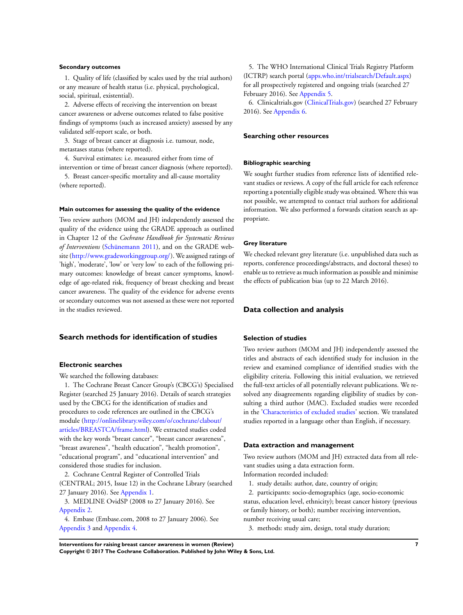#### **Secondary outcomes**

1. Quality of life (classified by scales used by the trial authors) or any measure of health status (i.e. physical, psychological, social, spiritual, existential).

2. Adverse effects of receiving the intervention on breast cancer awareness or adverse outcomes related to false positive findings of symptoms (such as increased anxiety) assessed by any validated self-report scale, or both.

3. Stage of breast cancer at diagnosis i.e. tumour, node, metastases status (where reported).

4. Survival estimates: i.e. measured either from time of intervention or time of breast cancer diagnosis (where reported).

5. Breast cancer-specific mortality and all-cause mortality (where reported).

#### **Main outcomes for assessing the quality of the evidence**

Two review authors (MOM and JH) independently assessed the quality of the evidence using the GRADE approach as outlined in Chapter 12 of the *Cochrane Handbook for Systematic Reviews of Interventions* [\(Schünemann 2011](#page-24-0)), and on the GRADE website [\(http://www.gradeworkinggroup.org/](http://www.gradeworkinggroup.org/)). We assigned ratings of 'high', 'moderate', 'low' or 'very low' to each of the following primary outcomes: knowledge of breast cancer symptoms, knowledge of age-related risk, frequency of breast checking and breast cancer awareness. The quality of the evidence for adverse events or secondary outcomes was not assessed as these were not reported in the studies reviewed.

## **Search methods for identification of studies**

#### **Electronic searches**

We searched the following databases:

1. The Cochrane Breast Cancer Group's (CBCG's) Specialised Register (searched 25 January 2016). Details of search strategies used by the CBCG for the identification of studies and procedures to code references are outlined in the CBCG's module ([http://onlinelibrary.wiley.com/o/cochrane/clabout/](http://onlinelibrary.wiley.com/o/cochrane/clabout/articles/BREASTCA/frame.html) [articles/BREASTCA/frame.html\)](http://onlinelibrary.wiley.com/o/cochrane/clabout/articles/BREASTCA/frame.html). We extracted studies coded with the key words "breast cancer", "breast cancer awareness", "breast awareness", "health education", "health promotion", "educational program", and "educational intervention" and considered those studies for inclusion.

2. Cochrane Central Register of Controlled Trials (CENTRAL; 2015, Issue 12) in the Cochrane Library (searched 27 January 2016). See [Appendix 1.](#page-36-0)

3. MEDLINE OvidSP (2008 to 27 January 2016). See [Appendix 2.](#page-36-0)

4. Embase (Embase.com, 2008 to 27 January 2006). See [Appendix 3](#page-39-0) and [Appendix 4.](#page-40-0)

5. The WHO International Clinical Trials Registry Platform (ICTRP) search portal ([apps.who.int/trialsearch/Default.aspx\)](http://apps.who.int/trialsearch/Default.aspx) for all prospectively registered and ongoing trials (searched 27 February 2016). See [Appendix 5.](#page-42-0)

6. Clinicaltrials.gov ([ClinicalTrials.gov\)](http://clinicaltrials.gov) (searched 27 February 2016). See [Appendix 6.](#page-43-0)

#### **Searching other resources**

#### **Bibliographic searching**

We sought further studies from reference lists of identified relevant studies or reviews. A copy of the full article for each reference reporting a potentially eligible study was obtained. Where this was not possible, we attempted to contact trial authors for additional information. We also performed a forwards citation search as appropriate.

#### **Grey literature**

We checked relevant grey literature (i.e. unpublished data such as reports, conference proceedings/abstracts, and doctoral theses) to enable us to retrieve as much information as possible and minimise the effects of publication bias (up to 22 March 2016).

## **Data collection and analysis**

#### **Selection of studies**

Two review authors (MOM and JH) independently assessed the titles and abstracts of each identified study for inclusion in the review and examined compliance of identified studies with the eligibility criteria. Following this initial evaluation, we retrieved the full-text articles of all potentially relevant publications. We resolved any disagreements regarding eligibility of studies by consulting a third author (MAC). Excluded studies were recorded in the ['Characteristics of excluded studies](#page-32-0)' section. We translated studies reported in a language other than English, if necessary.

#### **Data extraction and management**

Two review authors (MOM and JH) extracted data from all relevant studies using a data extraction form.

Information recorded included:

1. study details: author, date, country of origin;

2. participants: socio-demographics (age, socio-economic status, education level, ethnicity); breast cancer history (previous or family history, or both); number receiving intervention, number receiving usual care;

3. methods: study aim, design, total study duration;

**Interventions for raising breast cancer awareness in women (Review) 7 Copyright © 2017 The Cochrane Collaboration. Published by John Wiley & Sons, Ltd.**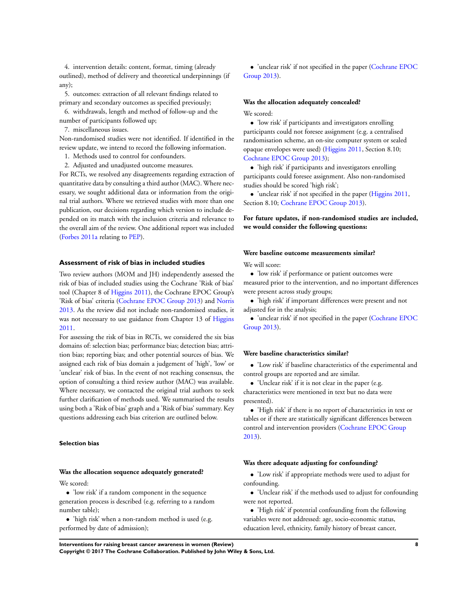4. intervention details: content, format, timing (already outlined), method of delivery and theoretical underpinnings (if any);

5. outcomes: extraction of all relevant findings related to primary and secondary outcomes as specified previously;

6. withdrawals, length and method of follow-up and the number of participants followed up;

7. miscellaneous issues.

Non-randomised studies were not identified. If identified in the review update, we intend to record the following information.

- 1. Methods used to control for confounders.
- 2. Adjusted and unadjusted outcome measures.

For RCTs, we resolved any disagreements regarding extraction of quantitative data by consulting a third author (MAC). Where necessary, we sought additional data or information from the original trial authors. Where we retrieved studies with more than one publication, our decisions regarding which version to include depended on its match with the inclusion criteria and relevance to the overall aim of the review. One additional report was included [\(Forbes 2011a](#page-24-0) relating to [PEP\)](#page-24-0).

#### **Assessment of risk of bias in included studies**

Two review authors (MOM and JH) independently assessed the risk of bias of included studies using the Cochrane 'Risk of bias' tool (Chapter 8 of [Higgins 2011\)](#page-24-0), the Cochrane EPOC Group's 'Risk of bias' criteria ([Cochrane EPOC Group 2013](#page-24-0)) and [Norris](#page-24-0) [2013](#page-24-0). As the review did not include non-randomised studies, it was not necessary to use guidance from Chapter 13 of [Higgins](#page-24-0) [2011](#page-24-0).

For assessing the risk of bias in RCTs, we considered the six bias domains of: selection bias; performance bias; detection bias; attrition bias; reporting bias; and other potential sources of bias. We assigned each risk of bias domain a judgement of 'high', 'low' or 'unclear' risk of bias. In the event of not reaching consensus, the option of consulting a third review author (MAC) was available. Where necessary, we contacted the original trial authors to seek further clarification of methods used. We summarised the results using both a 'Risk of bias' graph and a 'Risk of bias' summary. Key questions addressing each bias criterion are outlined below.

#### **Selection bias**

#### **Was the allocation sequence adequately generated?**

We scored:

• 'low risk' if a random component in the sequence generation process is described (e.g. referring to a random number table);

• 'high risk' when a non-random method is used (e.g. performed by date of admission);

• 'unclear risk' if not specified in the paper ([Cochrane EPOC](#page-24-0) [Group 2013](#page-24-0)).

#### **Was the allocation adequately concealed?**

#### We scored:

• 'low risk' if participants and investigators enrolling participants could not foresee assignment (e.g. a centralised randomisation scheme, an on-site computer system or sealed opaque envelopes were used) [\(Higgins 2011,](#page-24-0) Section 8.10; [Cochrane EPOC Group 2013](#page-24-0));

• 'high risk' if participants and investigators enrolling participants could foresee assignment. Also non-randomised studies should be scored 'high risk';

• 'unclear risk' if not specified in the paper ([Higgins 2011](#page-24-0), Section 8.10; [Cochrane EPOC Group 2013](#page-24-0)).

**For future updates, if non-randomised studies are included, we would consider the following questions:**

#### **Were baseline outcome measurements similar?**

We will score:

• 'low risk' if performance or patient outcomes were measured prior to the intervention, and no important differences were present across study groups;

• 'high risk' if important differences were present and not adjusted for in the analysis;

• 'unclear risk' if not specified in the paper ([Cochrane EPOC](#page-24-0) [Group 2013](#page-24-0)).

#### **Were baseline characteristics similar?**

• 'Low risk' if baseline characteristics of the experimental and control groups are reported and are similar.

• 'Unclear risk' if it is not clear in the paper (e.g.

characteristics were mentioned in text but no data were presented).

• 'High risk' if there is no report of characteristics in text or tables or if there are statistically significant differences between control and intervention providers ([Cochrane EPOC Group](#page-24-0) [2013](#page-24-0)).

#### **Was there adequate adjusting for confounding?**

• 'Low risk' if appropriate methods were used to adjust for confounding.

- 'Unclear risk' if the methods used to adjust for confounding were not reported.
- 'High risk' if potential confounding from the following variables were not addressed: age, socio-economic status, education level, ethnicity, family history of breast cancer,

**Interventions for raising breast cancer awareness in women (Review) 8 Copyright © 2017 The Cochrane Collaboration. Published by John Wiley & Sons, Ltd.**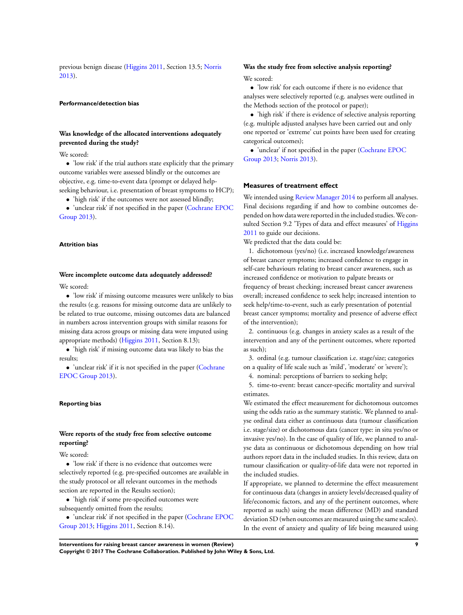previous benign disease [\(Higgins 2011,](#page-24-0) Section 13.5; [Norris](#page-24-0) [2013](#page-24-0)).

#### **Performance/detection bias**

## **Was knowledge of the allocated interventions adequately prevented during the study?**

We scored:

• 'low risk' if the trial authors state explicitly that the primary outcome variables were assessed blindly or the outcomes are objective, e.g. time-to-event data (prompt or delayed helpseeking behaviour, i.e. presentation of breast symptoms to HCP);

• 'high risk' if the outcomes were not assessed blindly;

• 'unclear risk' if not specified in the paper ([Cochrane EPOC](#page-24-0) [Group 2013](#page-24-0)).

#### **Attrition bias**

## **Were incomplete outcome data adequately addressed?**

We scored:

• 'low risk' if missing outcome measures were unlikely to bias the results (e.g. reasons for missing outcome data are unlikely to be related to true outcome, missing outcomes data are balanced in numbers across intervention groups with similar reasons for missing data across groups or missing data were imputed using appropriate methods) [\(Higgins 2011,](#page-24-0) Section 8.13);

• 'high risk' if missing outcome data was likely to bias the results;

• 'unclear risk' if it is not specified in the paper [\(Cochrane](#page-24-0) [EPOC Group 2013](#page-24-0)).

#### **Reporting bias**

## **Were reports of the study free from selective outcome reporting?**

We scored:

• 'low risk' if there is no evidence that outcomes were selectively reported (e.g. pre-specified outcomes are available in the study protocol or all relevant outcomes in the methods section are reported in the Results section);

• 'high risk' if some pre-specified outcomes were subsequently omitted from the results;

• 'unclear risk' if not specified in the paper ([Cochrane EPOC](#page-24-0) [Group 2013](#page-24-0); [Higgins 2011,](#page-24-0) Section 8.14).

## **Was the study free from selective analysis reporting?** We scored:

• 'low risk' for each outcome if there is no evidence that analyses were selectively reported (e.g. analyses were outlined in the Methods section of the protocol or paper);

• 'high risk' if there is evidence of selective analysis reporting (e.g. multiple adjusted analyses have been carried out and only one reported or 'extreme' cut points have been used for creating categorical outcomes);

• 'unclear' if not specified in the paper [\(Cochrane EPOC](#page-24-0) [Group 2013](#page-24-0); [Norris 2013\)](#page-24-0).

## **Measures of treatment effect**

We intended using [Review Manager 2014](#page-24-0) to perform all analyses. Final decisions regarding if and how to combine outcomes depended on how data were reported in the included studies.We con-sulted Section 9.2 'Types of data and effect measures' of [Higgins](#page-24-0) [2011](#page-24-0) to guide our decisions.

We predicted that the data could be:

1. dichotomous (yes/no) (i.e. increased knowledge/awareness of breast cancer symptoms; increased confidence to engage in self-care behaviours relating to breast cancer awareness, such as increased confidence or motivation to palpate breasts or frequency of breast checking; increased breast cancer awareness

overall; increased confidence to seek help; increased intention to seek help/time-to-event, such as early presentation of potential breast cancer symptoms; mortality and presence of adverse effect of the intervention);

2. continuous (e.g. changes in anxiety scales as a result of the intervention and any of the pertinent outcomes, where reported as such);

3. ordinal (e.g. tumour classification i.e. stage/size; categories on a quality of life scale such as 'mild', 'moderate' or 'severe');

4. nominal: perceptions of barriers to seeking help;

5. time-to-event: breast cancer-specific mortality and survival estimates.

We estimated the effect measurement for dichotomous outcomes using the odds ratio as the summary statistic. We planned to analyse ordinal data either as continuous data (tumour classification i.e. stage/size) or dichotomous data (cancer type: in situ yes/no or invasive yes/no). In the case of quality of life, we planned to analyse data as continuous or dichotomous depending on how trial authors report data in the included studies. In this review, data on tumour classification or quality-of-life data were not reported in the included studies.

If appropriate, we planned to determine the effect measurement for continuous data (changes in anxiety levels/decreased quality of life/economic factors, and any of the pertinent outcomes, where reported as such) using the mean difference (MD) and standard deviation SD (when outcomes are measured using the same scales). In the event of anxiety and quality of life being measured using

**Interventions for raising breast cancer awareness in women (Review) 9 Copyright © 2017 The Cochrane Collaboration. Published by John Wiley & Sons, Ltd.**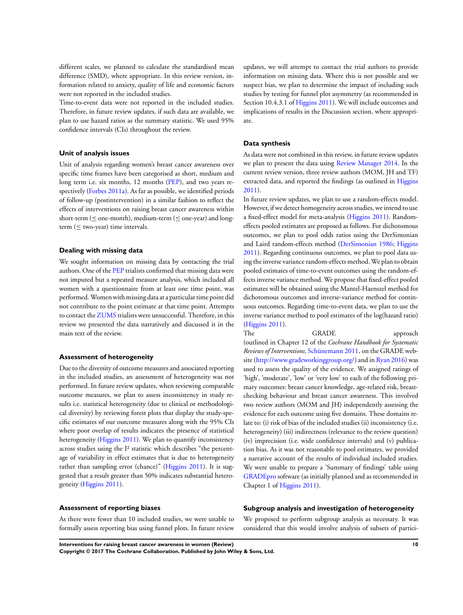different scales, we planned to calculate the standardised mean difference (SMD), where appropriate. In this review version, information related to anxiety, quality of life and economic factors were not reported in the included studies.

Time-to-event data were not reported in the included studies. Therefore, in future review updates, if such data are available, we plan to use hazard ratios as the summary statistic. We used 95% confidence intervals (CIs) throughout the review.

#### **Unit of analysis issues**

Unit of analysis regarding women's breast cancer awareness over specific time frames have been categorised as short, medium and long term i.e. six months, 12 months [\(PEP](#page-24-0)), and two years respectively [\(Forbes 2011a\)](#page-24-0). As far as possible, we identified periods of follow-up (postintervention) in a similar fashion to reflect the effects of interventions on raising breast cancer awareness within short-term ( $\leq$  one-month), medium-term ( $\leq$  one-year) and longterm ( $\leq$  two-year) time intervals.

#### **Dealing with missing data**

We sought information on missing data by contacting the trial authors. One of the [PEP](#page-24-0) trialists confirmed that missing data were not imputed but a repeated measure analysis, which included all women with a questionnaire from at least one time point, was performed.Women with missing data at a particular time point did not contribute to the point estimate at that time point. Attempts to contact the [ZUMS](#page-24-0) trialists were unsuccessful. Therefore, in this review we presented the data narratively and discussed it in the main text of the review.

#### **Assessment of heterogeneity**

Due to the diversity of outcome measures and associated reporting in the included studies, an assessment of heterogeneity was not performed. In future review updates, when reviewing comparable outcome measures, we plan to assess inconsistency in study results i.e. statistical heterogeneity (due to clinical or methodological diversity) by reviewing forest plots that display the study-specific estimates of our outcome measures along with the 95% CIs where poor overlap of results indicates the presence of statistical heterogeneity [\(Higgins 2011\)](#page-24-0). We plan to quantify inconsistency across studies using the I² statistic which describes "the percentage of variability in effect estimates that is due to heterogeneity rather than sampling error (chance)" ([Higgins 2011](#page-24-0)). It is suggested that a result greater than 50% indicates substantial heterogeneity [\(Higgins 2011\)](#page-24-0).

#### **Assessment of reporting biases**

As there were fewer than 10 included studies, we were unable to formally assess reporting bias using funnel plots. In future review

updates, we will attempt to contact the trial authors to provide information on missing data. Where this is not possible and we suspect bias, we plan to determine the impact of including such studies by testing for funnel plot asymmetry (as recommended in Section 10.4.3.1 of [Higgins 2011\)](#page-24-0). We will include outcomes and implications of results in the Discussion section, where appropriate.

## **Data synthesis**

As data were not combined in this review, in future review updates we plan to present the data using [Review Manager 2014.](#page-24-0) In the current review version, three review authors (MOM, JH and TF) extracted data, and reported the findings (as outlined in [Higgins](#page-24-0) [2011](#page-24-0)).

In future review updates, we plan to use a random-effects model. However, if we detect homogeneity across studies, we intend to use a fixed-effect model for meta-analysis [\(Higgins 2011](#page-24-0)). Randomeffects pooled estimates are proposed as follows. For dichotomous outcomes, we plan to pool odds ratios using the DerSimonian and Laird random-effects method ([DerSimonian 1986;](#page-24-0) [Higgins](#page-24-0) [2011](#page-24-0)). Regarding continuous outcomes, we plan to pool data using the inverse variance random-effects method. We plan to obtain pooled estimates of time-to-event outcomes using the random-effects inverse variance method. We propose that fixed-effect pooled estimates will be obtained using the Mantel-Haenszel method for dichotomous outcomes and inverse-variance method for continuous outcomes. Regarding time-to-event data, we plan to use the inverse variance method to pool estimates of the log(hazard ratio) [\(Higgins 2011\)](#page-24-0).

The GRADE approach (outlined in Chapter 12 of the *Cochrane Handbook for Systematic Reviews of Interventions,* [Schünemann 2011,](#page-24-0) on the GRADE website [\(http://www.gradeworkinggroup.org/](http://www.gradeworkinggroup.org/)) and in [Ryan 2016](#page-24-0)) was used to assess the quality of the evidence. We assigned ratings of 'high', 'moderate', 'low' or 'very low' to each of the following primary outcomes: breast cancer knowledge, age-related risk, breastchecking behaviour and breast cancer awareness. This involved two review authors (MOM and JH) independently assessing the evidence for each outcome using five domains. These domains relate to: (i) risk of bias of the included studies (ii) inconsistency (i.e. heterogeneity) (iii) indirectness (relevance to the review question) (iv) imprecision (i.e. wide confidence intervals) and (v) publication bias. As it was not reasonable to pool estimates, we provided a narrative account of the results of individual included studies. We were unable to prepare a 'Summary of findings' table using [GRADEpro](#page-24-0) software (as initially planned and as recommended in Chapter 1 of [Higgins 2011\)](#page-24-0).

## **Subgroup analysis and investigation of heterogeneity**

We proposed to perform subgroup analysis as necessary. It was considered that this would involve analysis of subsets of partici-

**Interventions for raising breast cancer awareness in women (Review) 10 Copyright © 2017 The Cochrane Collaboration. Published by John Wiley & Sons, Ltd.**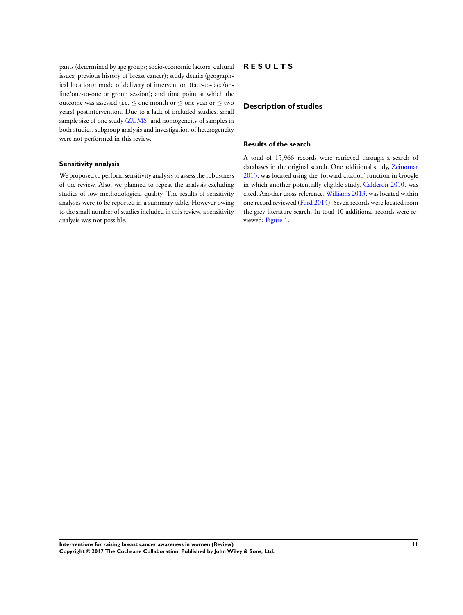pants (determined by age groups; socio-economic factors; cultural issues; previous history of breast cancer); study details (geographical location); mode of delivery of intervention (face-to-face/online/one-to-one or group session); and time point at which the outcome was assessed (i.e. ≤ one month or ≤ one year or ≤ two years) postintervention. Due to a lack of included studies, small sample size of one study ([ZUMS\)](#page-24-0) and homogeneity of samples in both studies, subgroup analysis and investigation of heterogeneity were not performed in this review.

#### **Sensitivity analysis**

We proposed to perform sensitivity analysis to assess the robustness of the review. Also, we planned to repeat the analysis excluding studies of low methodological quality. The results of sensitivity analyses were to be reported in a summary table. However owing to the small number of studies included in this review, a sensitivity analysis was not possible.

## **R E S U L T S**

#### **Description of studies**

## **Results of the search**

A total of 15,966 records were retrieved through a search of databases in the original search. One additional study, [Zeinomar](#page-24-0) [2013](#page-24-0), was located using the 'forward citation' function in Google in which another potentially eligible study, [Calderon 2010,](#page-24-0) was cited. Another cross-reference, [Williams 2013](#page-24-0), was located within one record reviewed [\(Ford 2014](#page-24-0)). Seven records were located from the grey literature search. In total 10 additional records were reviewed; [Figure 1](#page-14-0).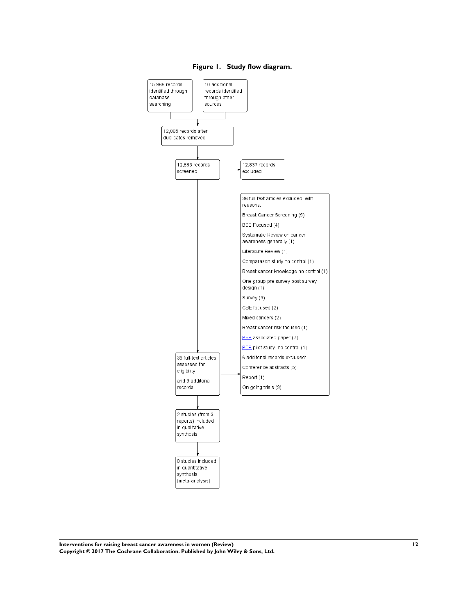<span id="page-14-0"></span>

**Figure 1. Study flow diagram.**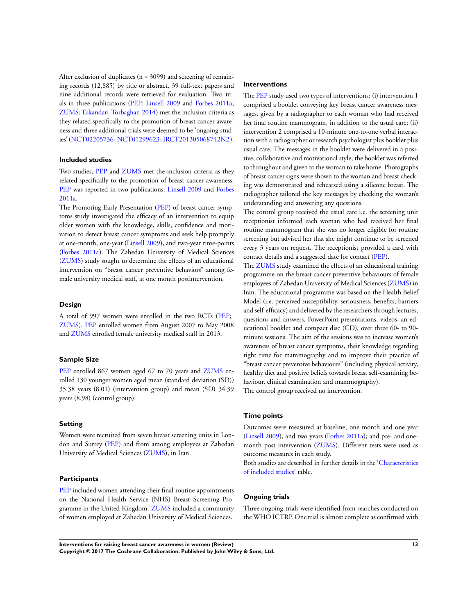After exclusion of duplicates ( $n = 3099$ ) and screening of remaining records (12,885) by title or abstract, 39 full-text papers and nine additional records were retrieved for evaluation. Two trials in three publications ([PEP:](#page-24-0) [Linsell 2009](#page-24-0) and [Forbes 2011a;](#page-24-0) [ZUMS](#page-24-0): [Eskandari-Torbaghan 2014\)](#page-24-0) met the inclusion criteria as they related specifically to the promotion of breast cancer awareness and three additional trials were deemed to be 'ongoing studies' [\(NCT02205736;](#page-24-0) [NCT01299623;](#page-24-0) [IRCT201305068742N2](#page-24-0)).

#### **Included studies**

Two studies, [PEP](#page-24-0) and [ZUMS](#page-24-0) met the inclusion criteria as they related specifically to the promotion of breast cancer awareness. [PEP](#page-24-0) was reported in two publications: [Linsell 2009](#page-24-0) and [Forbes](#page-24-0) [2011a.](#page-24-0)

The Promoting Early Presentation ([PEP\)](#page-24-0) of breast cancer symptoms study investigated the efficacy of an intervention to equip older women with the knowledge, skills, confidence and motivation to detect breast cancer symptoms and seek help promptly at one-month, one-year [\(Linsell 2009](#page-24-0)), and two-year time-points [\(Forbes 2011a\)](#page-24-0). The Zahedan University of Medical Sciences [\(ZUMS](#page-24-0)) study sought to determine the effects of an educational intervention on "breast cancer preventive behaviors" among female university medical staff, at one month postintervention.

#### **Design**

A total of 997 women were enrolled in the two RCTs [\(PEP](#page-24-0); [ZUMS](#page-24-0)). [PEP](#page-24-0) enrolled women from August 2007 to May 2008 and [ZUMS](#page-24-0) enrolled female university medical staff in 2013.

## **Sample Size**

[PEP](#page-24-0) enrolled 867 women aged 67 to 70 years and [ZUMS](#page-24-0) enrolled 130 younger women aged mean (standard deviation (SD)) 35.38 years (8.01) (intervention group) and mean (SD) 34.39 years (8.98) (control group).

#### **Setting**

Women were recruited from seven breast screening units in London and Surrey ([PEP\)](#page-24-0) and from among employees at Zahedan University of Medical Sciences [\(ZUMS\)](#page-24-0), in Iran.

#### **Participants**

[PEP](#page-24-0) included women attending their final routine appointments on the National Health Service (NHS) Breast Screening Programme in the United Kingdom. [ZUMS](#page-24-0) included a community of women employed at Zahedan University of Medical Sciences.

#### **Interventions**

The [PEP](#page-24-0) study used two types of interventions: (i) intervention 1 comprised a booklet conveying key breast cancer awareness messages, given by a radiographer to each woman who had received her final routine mammogram, in addition to the usual care; (ii) intervention 2 comprised a 10-minute one-to-one verbal interaction with a radiographer or research psychologist plus booklet plus usual care. The messages in the booklet were delivered in a positive, collaborative and motivational style, the booklet was referred to throughout and given to the woman to take home. Photographs of breast cancer signs were shown to the woman and breast checking was demonstrated and rehearsed using a silicone breast. The radiographer tailored the key messages by checking the woman's understanding and answering any questions.

The control group received the usual care i.e. the screening unit receptionist informed each woman who had received her final routine mammogram that she was no longer eligible for routine screening but advised her that she might continue to be screened every 3 years on request. The receptionist provided a card with contact details and a suggested date for contact ([PEP](#page-24-0)).

The [ZUMS](#page-24-0) study examined the effects of an educational training programme on the breast cancer preventive behaviours of female employees of Zahedan University of Medical Sciences [\(ZUMS](#page-24-0)) in Iran. The educational programme was based on the Health Belief Model (i.e. perceived susceptibility, seriousness, benefits, barriers and self-efficacy) and delivered by the researchers through lectures, questions and answers, PowerPoint presentations, videos, an educational booklet and compact disc (CD), over three 60- to 90 minute sessions. The aim of the sessions was to increase women's awareness of breast cancer symptoms, their knowledge regarding right time for mammography and to improve their practice of "breast cancer preventive behaviours" (including physical activity, healthy diet and positive beliefs towards breast self-examining behaviour, clinical examination and mammography). The control group received no intervention.

## **Time points**

Outcomes were measured at baseline, one month and one year [\(Linsell 2009\)](#page-24-0), and two years ([Forbes 2011a\)](#page-24-0); and pre- and onemonth post intervention ([ZUMS\)](#page-24-0). Different tests were used as outcome measures in each study.

Both studies are described in further details in the ['Characteristics](#page-30-0) [of included studies](#page-30-0)' table.

#### **Ongoing trials**

Three ongoing trials were identified from searches conducted on the WHO ICTRP. One trial is almost complete as confirmed with

**Interventions for raising breast cancer awareness in women (Review) 13 Copyright © 2017 The Cochrane Collaboration. Published by John Wiley & Sons, Ltd.**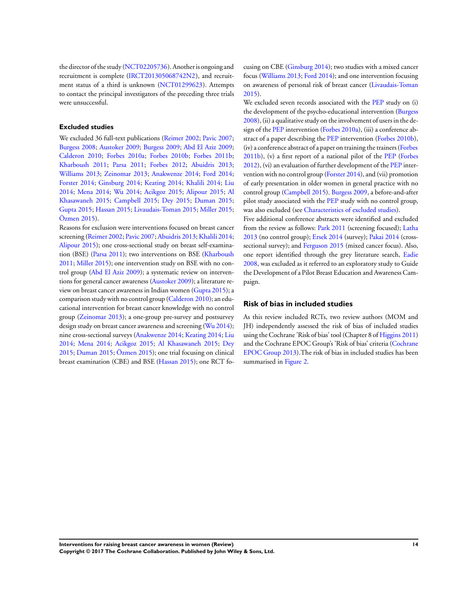the director of the study [\(NCT02205736\)](#page-24-0). Another is ongoing and recruitment is complete [\(IRCT201305068742N2\)](#page-24-0), and recruitment status of a third is unknown ([NCT01299623\)](#page-24-0). Attempts to contact the principal investigators of the preceding three trials were unsuccessful.

## **Excluded studies**

We excluded 36 full-text publications ([Reimer 2002](#page-24-0); [Pavic 2007;](#page-24-0) [Burgess 2008](#page-24-0); [Austoker 2009;](#page-24-0) [Burgess 2009](#page-24-0); [Abd El Aziz 2009;](#page-24-0) [Calderon 2010;](#page-24-0) [Forbes 2010a](#page-24-0); [Forbes 2010b;](#page-24-0) [Forbes 2011b;](#page-24-0) [Kharboush 2011;](#page-24-0) [Parsa 2011;](#page-24-0) [Forbes 2012;](#page-24-0) [Abuidris 2013;](#page-24-0) [Williams 2013;](#page-24-0) [Zeinomar 2013;](#page-24-0) [Anakwenze 2014;](#page-24-0) [Ford 2014;](#page-24-0) [Forster 2014](#page-24-0); [Ginsburg 2014;](#page-24-0) [Keating 2014](#page-24-0); [Khalili 2014;](#page-24-0) [Liu](#page-24-0) [2014](#page-24-0); [Mena 2014;](#page-24-0) [Wu 2014](#page-24-0); [Acikgoz 2015](#page-24-0); [Alipour 2015;](#page-24-0) [Al](#page-24-0) [Khasawaneh 2015](#page-24-0); [Campbell 2015;](#page-24-0) [Dey 2015;](#page-24-0) [Duman 2015;](#page-24-0) [Gupta 2015;](#page-24-0) [Hassan 2015](#page-24-0); [Livaudais-Toman 2015;](#page-24-0) [Miller 2015;](#page-24-0) [Özmen 2015](#page-24-0)).

Reasons for exclusion were interventions focused on breast cancer screening ([Reimer 2002;](#page-24-0) [Pavic 2007](#page-24-0); [Abuidris 2013](#page-24-0); [Khalili 2014;](#page-24-0) [Alipour 2015\)](#page-24-0); one cross-sectional study on breast self-examination (BSE) ([Parsa 2011](#page-24-0)); two interventions on BSE ([Kharboush](#page-24-0) [2011](#page-24-0); [Miller 2015](#page-24-0)); one intervention study on BSE with no control group [\(Abd El Aziz 2009](#page-24-0)); a systematic review on interventions for general cancer awareness ([Austoker 2009](#page-24-0)); a literature review on breast cancer awareness in Indian women [\(Gupta 2015\)](#page-24-0); a comparison study with no control group ([Calderon 2010](#page-24-0)); an educational intervention for breast cancer knowledge with no control group [\(Zeinomar 2013](#page-24-0)); a one-group pre-survey and postsurvey design study on breast cancer awareness and screening ([Wu 2014](#page-24-0)); nine cross-sectional surveys ([Anakwenze 2014](#page-24-0); [Keating 2014](#page-24-0); [Liu](#page-24-0) [2014](#page-24-0); [Mena 2014](#page-24-0); [Acikgoz 2015;](#page-24-0) [Al Khasawaneh 2015;](#page-24-0) [Dey](#page-24-0) [2015](#page-24-0); [Duman 2015;](#page-24-0) [Özmen 2015](#page-24-0)); one trial focusing on clinical breast examination (CBE) and BSE [\(Hassan 2015](#page-24-0)); one RCT focusing on CBE ([Ginsburg 2014](#page-24-0)); two studies with a mixed cancer focus [\(Williams 2013](#page-24-0); [Ford 2014\)](#page-24-0); and one intervention focusing on awareness of personal risk of breast cancer ([Livaudais-Toman](#page-24-0) [2015](#page-24-0)).

We excluded seven records associated with the [PEP](#page-24-0) study on (i) the development of the psycho-educational intervention ([Burgess](#page-24-0) [2008](#page-24-0)), (ii) a qualitative study on the involvement of users in the design of the [PEP](#page-24-0) intervention ([Forbes 2010a](#page-24-0)), (iii) a conference abstract of a paper describing the [PEP](#page-24-0) intervention ([Forbes 2010b](#page-24-0)), (iv) a conference abstract of a paper on training the trainers ([Forbes](#page-24-0) [2011b\)](#page-24-0), (v) a first report of a national pilot of the [PEP](#page-24-0) [\(Forbes](#page-24-0) [2012](#page-24-0)), (vi) an evaluation of further development of the [PEP](#page-24-0) intervention with no control group [\(Forster 2014\)](#page-24-0), and (vii) promotion of early presentation in older women in general practice with no control group [\(Campbell 2015](#page-24-0)). [Burgess 2009,](#page-24-0) a before-and-after pilot study associated with the [PEP](#page-24-0) study with no control group, was also excluded (see [Characteristics of excluded studies](#page-32-0)).

Five additional conference abstracts were identified and excluded from the review as follows: [Park 2011](#page-24-0) (screening focused); [Latha](#page-24-0) [2013](#page-24-0) (no control group); [Ersek 2014](#page-24-0) (survey); [Pakai 2014](#page-24-0) (cross-sectional survey); and [Ferguson 2015](#page-24-0) (mixed cancer focus). Also, one report identified through the grey literature search, [Eadie](#page-24-0) [2008](#page-24-0), was excluded as it referred to an exploratory study to Guide the Development of a Pilot Breast Education and Awareness Campaign.

## **Risk of bias in included studies**

As this review included RCTs, two review authors (MOM and JH) independently assessed the risk of bias of included studies using the Cochrane 'Risk of bias' tool (Chapter 8 of [Higgins 2011](#page-24-0)) and the Cochrane EPOC Group's 'Risk of bias' criteria [\(Cochrane](#page-24-0) [EPOC Group 2013\)](#page-24-0).The risk of bias in included studies has been summarised in [Figure 2](#page-17-0).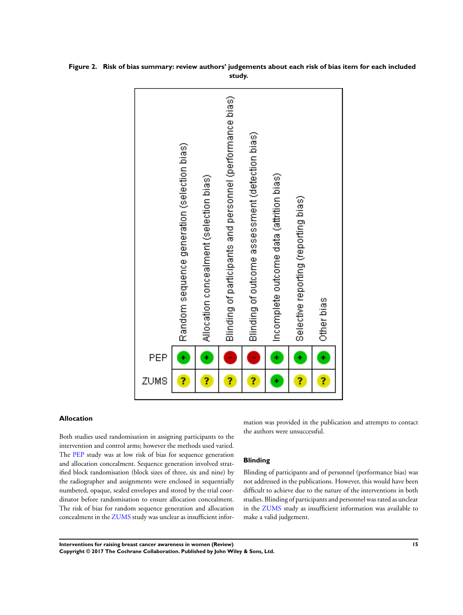

<span id="page-17-0"></span>**Figure 2. Risk of bias summary: review authors' judgements about each risk of bias item for each included study.**

## **Allocation**

Both studies used randomisation in assigning participants to the intervention and control arms; however the methods used varied. The [PEP](#page-24-0) study was at low risk of bias for sequence generation and allocation concealment. Sequence generation involved stratified block randomisation (block sizes of three, six and nine) by the radiographer and assignments were enclosed in sequentially numbered, opaque, sealed envelopes and stored by the trial coordinator before randomisation to ensure allocation concealment. The risk of bias for random sequence generation and allocation concealment in the [ZUMS](#page-24-0) study was unclear as insufficient infor-

mation was provided in the publication and attempts to contact the authors were unsuccessful.

#### **Blinding**

Blinding of participants and of personnel (performance bias) was not addressed in the publications. However, this would have been difficult to achieve due to the nature of the interventions in both studies. Blinding of participants and personnel was rated as unclear in the [ZUMS](#page-24-0) study as insufficient information was available to make a valid judgement.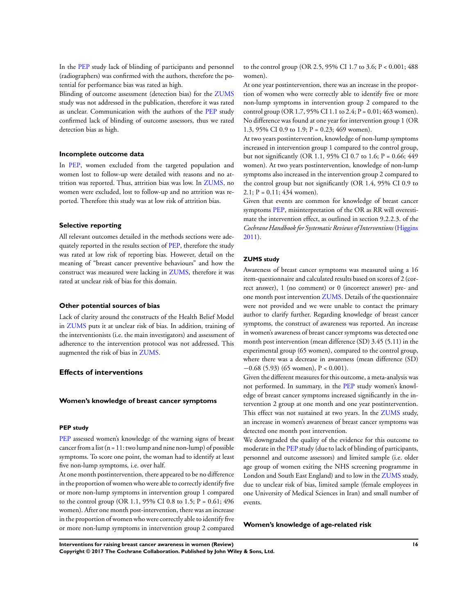In the [PEP](#page-24-0) study lack of blinding of participants and personnel (radiographers) was confirmed with the authors, therefore the potential for performance bias was rated as high.

Blinding of outcome assessment (detection bias) for the [ZUMS](#page-24-0) study was not addressed in the publication, therefore it was rated as unclear. Communication with the authors of the [PEP](#page-24-0) study confirmed lack of blinding of outcome assessors, thus we rated detection bias as high.

#### **Incomplete outcome data**

In [PEP](#page-24-0), women excluded from the targeted population and women lost to follow-up were detailed with reasons and no attrition was reported. Thus, attrition bias was low. In [ZUMS](#page-24-0), no women were excluded, lost to follow-up and no attrition was reported. Therefore this study was at low risk of attrition bias.

#### **Selective reporting**

All relevant outcomes detailed in the methods sections were adequately reported in the results section of [PEP,](#page-24-0) therefore the study was rated at low risk of reporting bias. However, detail on the meaning of "breast cancer preventive behaviours" and how the construct was measured were lacking in [ZUMS,](#page-24-0) therefore it was rated at unclear risk of bias for this domain.

#### **Other potential sources of bias**

Lack of clarity around the constructs of the Health Belief Model in [ZUMS](#page-24-0) puts it at unclear risk of bias. In addition, training of the interventionists (i.e. the main investigators) and assessment of adherence to the intervention protocol was not addressed. This augmented the risk of bias in [ZUMS](#page-24-0).

#### **Effects of interventions**

#### **Women's knowledge of breast cancer symptoms**

#### **PEP study**

[PEP](#page-24-0) assessed women's knowledge of the warning signs of breast cancer from a list  $(n = 11: two lump and nine non-lump)$  of possible symptoms. To score one point, the woman had to identify at least five non-lump symptoms, i.e. over half.

At one month postintervention, there appeared to be no difference in the proportion of women who were able to correctly identify five or more non-lump symptoms in intervention group 1 compared to the control group (OR 1.1, 95% CI 0.8 to 1.5;  $P = 0.61$ ; 496 women). After one month post-intervention, there was an increase in the proportion of women who were correctly able to identify five or more non-lump symptoms in intervention group 2 compared to the control group (OR 2.5, 95% CI 1.7 to 3.6; P < 0.001; 488 women).

At one year postintervention, there was an increase in the proportion of women who were correctly able to identify five or more non-lump symptoms in intervention group 2 compared to the control group (OR 1.7, 95% CI 1.1 to 2.4;  $P = 0.01$ ; 463 women). No difference was found at one year for intervention group 1 (OR 1.3, 95% CI 0.9 to 1.9;  $P = 0.23$ ; 469 women).

At two years postintervention, knowledge of non-lump symptoms increased in intervention group 1 compared to the control group, but not significantly (OR 1.1, 95% CI 0.7 to 1.6; P = 0.66; 449 women). At two years postintervention, knowledge of non-lump symptoms also increased in the intervention group 2 compared to the control group but not significantly (OR 1.4, 95% CI 0.9 to  $2.1$ ;  $P = 0.11$ ; 434 women).

Given that events are common for knowledge of breast cancer symptoms [PEP](#page-24-0), misinterpretation of the OR as RR will overestimate the intervention effect, as outlined in section 9.2.2.3. of the *Cochrane Handbook for Systematic Reviews of Interventions* ([Higgins](#page-24-0) [2011](#page-24-0)).

#### **ZUMS study**

Awareness of breast cancer symptoms was measured using a 16 item-questionnaire and calculated results based on scores of 2 (correct answer), 1 (no comment) or 0 (incorrect answer) pre- and one month post intervention [ZUMS](#page-24-0). Details of the questionnaire were not provided and we were unable to contact the primary author to clarify further. Regarding knowledge of breast cancer symptoms, the construct of awareness was reported. An increase in women's awareness of breast cancer symptoms was detected one month post intervention (mean difference (SD) 3.45 (5.11) in the experimental group (65 women), compared to the control group, where there was a decrease in awareness (mean difference (SD) −0.68 (5.93) (65 women), P < 0.001).

Given the different measures for this outcome, a meta-analysis was not performed. In summary, in the [PEP](#page-24-0) study women's knowledge of breast cancer symptoms increased significantly in the intervention 2 group at one month and one year postintervention. This effect was not sustained at two years. In the [ZUMS](#page-24-0) study, an increase in women's awareness of breast cancer symptoms was detected one month post intervention.

We downgraded the quality of the evidence for this outcome to moderate in the [PEP](#page-24-0) study (due to lack of blinding of participants, personnel and outcome assessors) and limited sample (i.e. older age group of women exiting the NHS screening programme in London and South East England) and to low in the [ZUMS](#page-24-0) study, due to unclear risk of bias, limited sample (female employees in one University of Medical Sciences in Iran) and small number of events.

#### **Women's knowledge of age-related risk**

**Interventions for raising breast cancer awareness in women (Review) 16**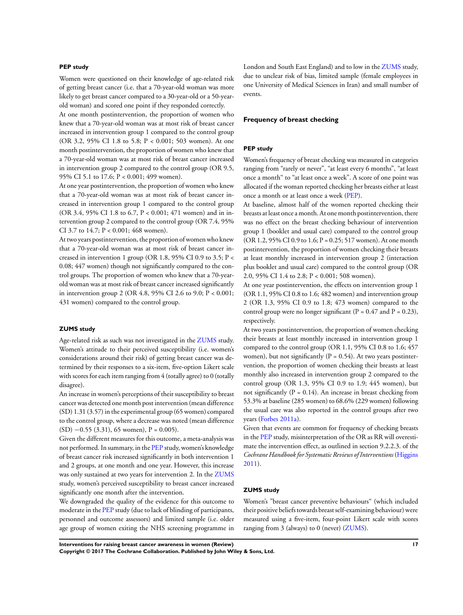#### **PEP study**

Women were questioned on their knowledge of age-related risk of getting breast cancer (i.e. that a 70-year-old woman was more likely to get breast cancer compared to a 30-year-old or a 50-yearold woman) and scored one point if they responded correctly.

At one month postintervention, the proportion of women who knew that a 70-year-old woman was at most risk of breast cancer increased in intervention group 1 compared to the control group (OR 3.2, 95% CI 1.8 to 5.8; P < 0.001; 503 women). At one month postintervention, the proportion of women who knew that a 70-year-old woman was at most risk of breast cancer increased in intervention group 2 compared to the control group (OR 9.5, 95% CI 5.1 to 17.6; P < 0.001; 499 women).

At one year postintervention, the proportion of women who knew that a 70-year-old woman was at most risk of breast cancer increased in intervention group 1 compared to the control group (OR 3.4, 95% CI 1.8 to 6.7, P < 0.001; 471 women) and in intervention group 2 compared to the control group (OR 7.4, 95% CI 3.7 to 14.7; P < 0.001; 468 women).

At two years postintervention, the proportion of women who knew that a 70-year-old woman was at most risk of breast cancer increased in intervention 1 group (OR 1.8, 95% CI 0.9 to 3.5; P < 0.08; 447 women) though not significantly compared to the control groups. The proportion of women who knew that a 70-yearold woman was at most risk of breast cancer increased significantly in intervention group 2 (OR 4.8, 95% CI 2.6 to 9.0; P < 0.001; 431 women) compared to the control group.

#### **ZUMS study**

Age-related risk as such was not investigated in the [ZUMS](#page-24-0) study. Women's attitude to their perceived susceptibility (i.e. women's considerations around their risk) of getting breast cancer was determined by their responses to a six-item, five-option Likert scale with scores for each item ranging from 4 (totally agree) to 0 (totally disagree).

An increase in women's perceptions of their susceptibility to breast cancer was detected one month post intervention (mean difference (SD) 1.31 (3.57) in the experimental group (65 women) compared to the control group, where a decrease was noted (mean difference  $(SD)$  −0.55 (3.31), 65 women), P = 0.005).

Given the different measures for this outcome, a meta-analysis was not performed. In summary, in the [PEP](#page-24-0) study, women's knowledge of breast cancer risk increased significantly in both intervention 1 and 2 groups, at one month and one year. However, this increase was only sustained at two years for intervention 2. In the [ZUMS](#page-24-0) study, women's perceived susceptibility to breast cancer increased significantly one month after the intervention.

We downgraded the quality of the evidence for this outcome to moderate in the [PEP](#page-24-0) study (due to lack of blinding of participants, personnel and outcome assessors) and limited sample (i.e. older age group of women exiting the NHS screening programme in London and South East England) and to low in the [ZUMS](#page-24-0) study, due to unclear risk of bias, limited sample (female employees in one University of Medical Sciences in Iran) and small number of events.

#### **Frequency of breast checking**

#### **PEP study**

Women's frequency of breast checking was measured in categories ranging from "rarely or never", "at least every 6 months", "at least once a month" to "at least once a week". A score of one point was allocated if the woman reported checking her breasts either at least once a month or at least once a week ([PEP\)](#page-24-0).

At baseline, almost half of the women reported checking their breasts at least once a month. At one month postintervention, there was no effect on the breast checking behaviour of intervention group 1 (booklet and usual care) compared to the control group (OR 1.2, 95% CI 0.9 to 1.6; P = 0.25; 517 women). At one month postintervention, the proportion of women checking their breasts at least monthly increased in intervention group 2 (interaction plus booklet and usual care) compared to the control group (OR 2.0, 95% CI 1.4 to 2.8; P < 0.001; 508 women).

At one year postintervention, the effects on intervention group 1 (OR 1.1, 95% CI 0.8 to 1.6; 482 women) and intervention group 2 (OR 1.3, 95% CI 0.9 to 1.8; 473 women) compared to the control group were no longer significant ( $P = 0.47$  and  $P = 0.23$ ), respectively.

At two years postintervention, the proportion of women checking their breasts at least monthly increased in intervention group 1 compared to the control group (OR 1.1, 95% CI 0.8 to 1.6; 457 women), but not significantly  $(P = 0.54)$ . At two years postintervention, the proportion of women checking their breasts at least monthly also increased in intervention group 2 compared to the control group (OR 1.3, 95% CI 0.9 to 1.9; 445 women), but not significantly ( $P = 0.14$ ). An increase in breast checking from 53.3% at baseline (285 women) to 68.6% (229 women) following the usual care was also reported in the control groups after two years [\(Forbes 2011a](#page-24-0)).

Given that events are common for frequency of checking breasts in the [PEP](#page-24-0) study, misinterpretation of the OR as RR will overestimate the intervention effect, as outlined in section 9.2.2.3. of the *Cochrane Handbook for Systematic Reviews of Interventions* ([Higgins](#page-24-0) [2011](#page-24-0)).

#### **ZUMS study**

Women's "breast cancer preventive behaviours" (which included their positive beliefs towards breast self-examining behaviour) were measured using a five-item, four-point Likert scale with scores ranging from 3 (always) to 0 (never) ([ZUMS\)](#page-24-0).

**Interventions for raising breast cancer awareness in women (Review) 17 Copyright © 2017 The Cochrane Collaboration. Published by John Wiley & Sons, Ltd.**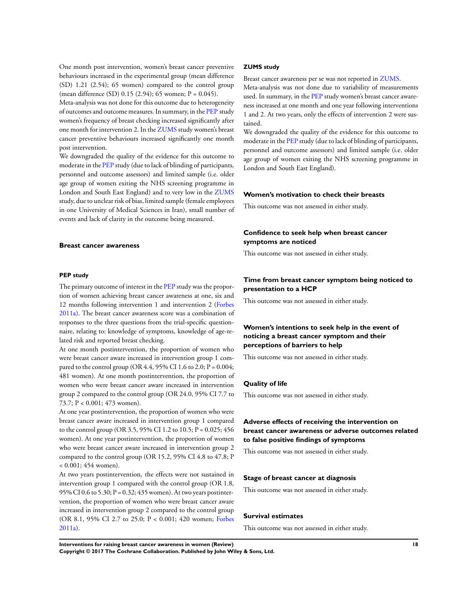One month post intervention, women's breast cancer preventive behaviours increased in the experimental group (mean difference (SD) 1.21 (2.54); 65 women) compared to the control group (mean difference (SD) 0.15 (2.94); 65 women; P = 0.045).

Meta-analysis was not done for this outcome due to heterogeneity of outcomes and outcome measures. In summary, in the [PEP](#page-24-0) study women's frequency of breast checking increased significantly after one month for intervention 2. In the [ZUMS](#page-24-0) study women's breast cancer preventive behaviours increased significantly one month post intervention.

We downgraded the quality of the evidence for this outcome to moderate in the [PEP](#page-24-0) study (due to lack of blinding of participants, personnel and outcome assessors) and limited sample (i.e. older age group of women exiting the NHS screening programme in London and South East England) and to very low in the [ZUMS](#page-24-0) study, due to unclear risk of bias, limited sample (female employees in one University of Medical Sciences in Iran), small number of events and lack of clarity in the outcome being measured.

#### **Breast cancer awareness**

#### **PEP study**

The primary outcome of interest in the [PEP](#page-24-0) study was the proportion of women achieving breast cancer awareness at one, six and 12 months following intervention 1 and intervention 2 [\(Forbes](#page-24-0) [2011a\)](#page-24-0). The breast cancer awareness score was a combination of responses to the three questions from the trial-specific questionnaire, relating to: knowledge of symptoms, knowledge of age-related risk and reported breast checking.

At one month postintervention, the proportion of women who were breast cancer aware increased in intervention group 1 compared to the control group (OR 4.4, 95% CI 1.6 to 2.0;  $P = 0.004$ ; 481 women). At one month postintervention, the proportion of women who were breast cancer aware increased in intervention group 2 compared to the control group (OR 24.0, 95% CI 7.7 to 73.7; P < 0.001; 473 women).

At one year postintervention, the proportion of women who were breast cancer aware increased in intervention group 1 compared to the control group (OR 3.5, 95% CI 1.2 to 10.5; P = 0.025; 456 women). At one year postintervention, the proportion of women who were breast cancer aware increased in intervention group 2 compared to the control group (OR 15.2, 95% CI 4.8 to 47.8; P  $< 0.001$ ; 454 women).

At two years postintervention, the effects were not sustained in intervention group 1 compared with the control group (OR 1.8, 95% CI 0.6 to 5.30; P = 0.32; 435 women). At two years postintervention, the proportion of women who were breast cancer aware increased in intervention group 2 compared to the control group (OR 8.1, 95% CI 2.7 to 25.0; P < 0.001; 420 women; [Forbes](#page-24-0) [2011a\)](#page-24-0).

#### **ZUMS study**

Breast cancer awareness per se was not reported in [ZUMS.](#page-24-0)

Meta-analysis was not done due to variability of measurements used. In summary, in the [PEP](#page-24-0) study women's breast cancer awareness increased at one month and one year following interventions 1 and 2. At two years, only the effects of intervention 2 were sustained.

We downgraded the quality of the evidence for this outcome to moderate in the [PEP](#page-24-0) study (due to lack of blinding of participants, personnel and outcome assessors) and limited sample (i.e. older age group of women exiting the NHS screening programme in London and South East England).

#### **Women's motivation to check their breasts**

This outcome was not assessed in either study.

## **Confidence to seek help when breast cancer symptoms are noticed**

This outcome was not assessed in either study.

#### **Time from breast cancer symptom being noticed to presentation to a HCP**

This outcome was not assessed in either study.

## **Women's intentions to seek help in the event of noticing a breast cancer symptom and their perceptions of barriers to help**

This outcome was not assessed in either study.

## **Quality of life**

This outcome was not assessed in either study.

## **Adverse effects of receiving the intervention on breast cancer awareness or adverse outcomes related to false positive findings of symptoms**

This outcome was not assessed in either study.

## **Stage of breast cancer at diagnosis**

This outcome was not assessed in either study.

#### **Survival estimates**

This outcome was not assessed in either study.

**Interventions for raising breast cancer awareness in women (Review) 18**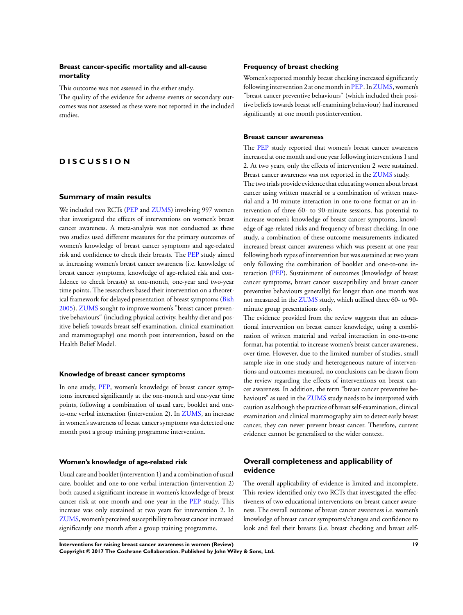## **Breast cancer-specific mortality and all-cause mortality**

This outcome was not assessed in the either study.

The quality of the evidence for adverse events or secondary outcomes was not assessed as these were not reported in the included studies.

## **D I S C U S S I O N**

#### **Summary of main results**

We included two RCTs [\(PEP](#page-24-0) and [ZUMS\)](#page-24-0) involving 997 women that investigated the effects of interventions on women's breast cancer awareness. A meta-analysis was not conducted as these two studies used different measures for the primary outcomes of women's knowledge of breast cancer symptoms and age-related risk and confidence to check their breasts. The [PEP](#page-24-0) study aimed at increasing women's breast cancer awareness (i.e. knowledge of breast cancer symptoms, knowledge of age-related risk and confidence to check breasts) at one-month, one-year and two-year time points. The researchers based their intervention on a theoretical framework for delayed presentation of breast symptoms ([Bish](#page-24-0) [2005](#page-24-0)). [ZUMS](#page-24-0) sought to improve women's "breast cancer preventive behaviours" (including physical activity, healthy diet and positive beliefs towards breast self-examination, clinical examination and mammography) one month post intervention, based on the Health Belief Model.

#### **Knowledge of breast cancer symptoms**

In one study, [PEP,](#page-24-0) women's knowledge of breast cancer symptoms increased significantly at the one-month and one-year time points, following a combination of usual care, booklet and oneto-one verbal interaction (intervention 2). In [ZUMS,](#page-24-0) an increase in women's awareness of breast cancer symptoms was detected one month post a group training programme intervention.

## **Women's knowledge of age-related risk**

Usual care and booklet (intervention 1) and a combination of usual care, booklet and one-to-one verbal interaction (intervention 2) both caused a significant increase in women's knowledge of breast cancer risk at one month and one year in the [PEP](#page-24-0) study. This increase was only sustained at two years for intervention 2. In [ZUMS](#page-24-0), women's perceived susceptibility to breast cancer increased significantly one month after a group training programme.

#### **Frequency of breast checking**

Women's reported monthly breast checking increased significantly following intervention 2 at one month in [PEP](#page-24-0). In [ZUMS](#page-24-0), women's "breast cancer preventive behaviours" (which included their positive beliefs towards breast self-examining behaviour) had increased significantly at one month postintervention.

#### **Breast cancer awareness**

The [PEP](#page-24-0) study reported that women's breast cancer awareness increased at one month and one year following interventions 1 and 2. At two years, only the effects of intervention 2 were sustained. Breast cancer awareness was not reported in the [ZUMS](#page-24-0) study.

The two trials provide evidence that educating women about breast cancer using written material or a combination of written material and a 10-minute interaction in one-to-one format or an intervention of three 60- to 90-minute sessions, has potential to increase women's knowledge of breast cancer symptoms, knowledge of age-related risks and frequency of breast checking. In one study, a combination of these outcome measurements indicated increased breast cancer awareness which was present at one year following both types of intervention but was sustained at two years only following the combination of booklet and one-to-one interaction ([PEP\)](#page-24-0). Sustainment of outcomes (knowledge of breast cancer symptoms, breast cancer susceptibility and breast cancer preventive behaviours generally) for longer than one month was not measured in the [ZUMS](#page-24-0) study, which utilised three 60- to 90 minute group presentations only.

The evidence provided from the review suggests that an educational intervention on breast cancer knowledge, using a combination of written material and verbal interaction in one-to-one format, has potential to increase women's breast cancer awareness, over time. However, due to the limited number of studies, small sample size in one study and heterogeneous nature of interventions and outcomes measured, no conclusions can be drawn from the review regarding the effects of interventions on breast cancer awareness. In addition, the term "breast cancer preventive behaviours" as used in the [ZUMS](#page-24-0) study needs to be interpreted with caution as although the practice of breast self-examination, clinical examination and clinical mammography aim to detect early breast cancer, they can never prevent breast cancer. Therefore, current evidence cannot be generalised to the wider context.

## **Overall completeness and applicability of evidence**

The overall applicability of evidence is limited and incomplete. This review identified only two RCTs that investigated the effectiveness of two educational interventions on breast cancer awareness. The overall outcome of breast cancer awareness i.e. women's knowledge of breast cancer symptoms/changes and confidence to look and feel their breasts (i.e. breast checking and breast self-

**Interventions for raising breast cancer awareness in women (Review) 19 Copyright © 2017 The Cochrane Collaboration. Published by John Wiley & Sons, Ltd.**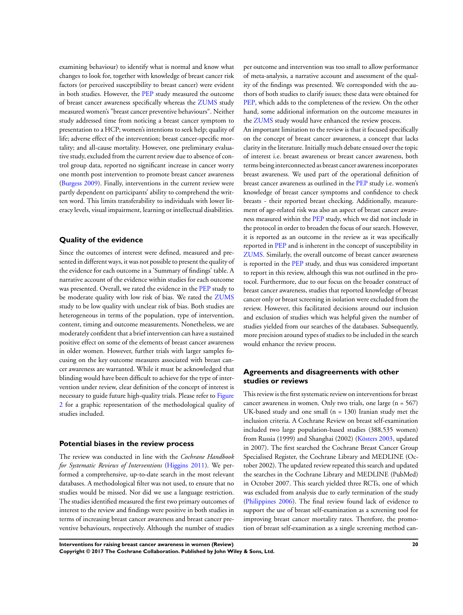examining behaviour) to identify what is normal and know what changes to look for, together with knowledge of breast cancer risk factors (or perceived susceptibility to breast cancer) were evident in both studies. However, the [PEP](#page-24-0) study measured the outcome of breast cancer awareness specifically whereas the [ZUMS](#page-24-0) study measured women's "breast cancer preventive behaviours". Neither study addressed time from noticing a breast cancer symptom to presentation to a HCP; women's intentions to seek help; quality of life; adverse effect of the intervention; breast cancer-specific mortality; and all-cause mortality. However, one preliminary evaluative study, excluded from the current review due to absence of control group data, reported no significant increase in cancer worry one month post intervention to promote breast cancer awareness [\(Burgess 2009](#page-24-0)). Finally, interventions in the current review were partly dependent on participants' ability to comprehend the written word. This limits transferability to individuals with lower literacy levels, visual impairment, learning or intellectual disabilities.

## **Quality of the evidence**

Since the outcomes of interest were defined, measured and presented in different ways, it was not possible to present the quality of the evidence for each outcome in a 'Summary of findings' table. A narrative account of the evidence within studies for each outcome was presented. Overall, we rated the evidence in the [PEP](#page-24-0) study to be moderate quality with low risk of bias. We rated the [ZUMS](#page-24-0) study to be low quality with unclear risk of bias. Both studies are heterogeneous in terms of the population, type of intervention, content, timing and outcome measurements. Nonetheless, we are moderately confident that a brief intervention can have a sustained positive effect on some of the elements of breast cancer awareness in older women. However, further trials with larger samples focusing on the key outcome measures associated with breast cancer awareness are warranted. While it must be acknowledged that blinding would have been difficult to achieve for the type of intervention under review, clear definition of the concept of interest is necessary to guide future high-quality trials. Please refer to [Figure](#page-17-0) [2](#page-17-0) for a graphic representation of the methodological quality of studies included.

#### **Potential biases in the review process**

The review was conducted in line with the *Cochrane Handbook for Systematic Reviews of Interventions* ([Higgins 2011\)](#page-24-0). We performed a comprehensive, up-to-date search in the most relevant databases. A methodological filter was not used, to ensure that no studies would be missed. Nor did we use a language restriction. The studies identified measured the first two primary outcomes of interest to the review and findings were positive in both studies in terms of increasing breast cancer awareness and breast cancer preventive behaviours, respectively. Although the number of studies

per outcome and intervention was too small to allow performance of meta-analysis, a narrative account and assessment of the quality of the findings was presented. We corresponded with the authors of both studies to clarify issues; these data were obtained for [PEP](#page-24-0), which adds to the completeness of the review. On the other hand, some additional information on the outcome measures in the [ZUMS](#page-24-0) study would have enhanced the review process.

An important limitation to the review is that it focused specifically on the concept of breast cancer awareness, a concept that lacks clarity in the literature. Initially much debate ensued over the topic of interest i.e. breast awareness or breast cancer awareness, both terms being interconnected as breast cancer awareness incorporates breast awareness. We used part of the operational definition of breast cancer awareness as outlined in the [PEP](#page-24-0) study i.e. women's knowledge of breast cancer symptoms and confidence to check breasts - their reported breast checking. Additionally, measurement of age-related risk was also an aspect of breast cancer awareness measured within the [PEP](#page-24-0) study, which we did not include in the protocol in order to broaden the focus of our search. However, it is reported as an outcome in the review as it was specifically reported in [PEP](#page-24-0) and is inherent in the concept of susceptibility in [ZUMS](#page-24-0). Similarly, the overall outcome of breast cancer awareness is reported in the [PEP](#page-24-0) study, and thus was considered important to report in this review, although this was not outlined in the protocol. Furthermore, due to our focus on the broader construct of breast cancer awareness, studies that reported knowledge of breast cancer only or breast screening in isolation were excluded from the review. However, this facilitated decisions around our inclusion and exclusion of studies which was helpful given the number of studies yielded from our searches of the databases. Subsequently, more precision around types of studies to be included in the search would enhance the review process.

## **Agreements and disagreements with other studies or reviews**

This review is the first systematic review on interventions for breast cancer awareness in women. Only two trials, one large (n = 567) UK-based study and one small (n = 130) Iranian study met the inclusion criteria. A Cochrane Review on breast self-examination included two large population-based studies (388,535 women) from Russia (1999) and Shanghai (2002) ([Kösters 2003,](#page-24-0) updated in 2007). The first searched the Cochrane Breast Cancer Group Specialised Register, the Cochrane Library and MEDLINE (October 2002). The updated review repeated this search and updated the searches in the Cochrane Library and MEDLINE (PubMed) in October 2007. This search yielded three RCTs, one of which was excluded from analysis due to early termination of the study [\(Philippines 2006](#page-24-0)). The final review found lack of evidence to support the use of breast self-examination as a screening tool for improving breast cancer mortality rates. Therefore, the promotion of breast self-examination as a single screening method can-

**Interventions for raising breast cancer awareness in women (Review) 20 Copyright © 2017 The Cochrane Collaboration. Published by John Wiley & Sons, Ltd.**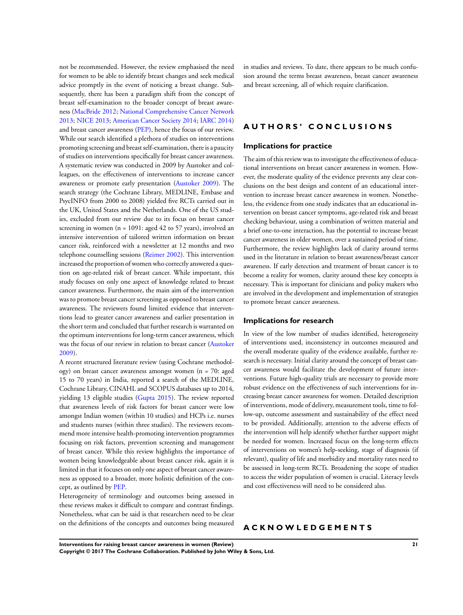not be recommended. However, the review emphasised the need for women to be able to identify breast changes and seek medical advice promptly in the event of noticing a breast change. Subsequently, there has been a paradigm shift from the concept of breast self-examination to the broader concept of breast awareness [\(MacBride 2012;](#page-24-0) [National Comprehensive Cancer Network](#page-24-0) [2013](#page-24-0); [NICE 2013;](#page-24-0) [American Cancer Society 2014](#page-24-0); [IARC 2014](#page-24-0)) and breast cancer awareness ([PEP\)](#page-24-0), hence the focus of our review. While our search identified a plethora of studies on interventions promoting screening and breast self-examination, there is a paucity of studies on interventions specifically for breast cancer awareness. A systematic review was conducted in 2009 by Austoker and colleagues, on the effectiveness of interventions to increase cancer awareness or promote early presentation [\(Austoker 2009\)](#page-24-0). The search strategy (the Cochrane Library, MEDLINE, Embase and PsycINFO from 2000 to 2008) yielded five RCTs carried out in the UK, United States and the Netherlands. One of the US studies, excluded from our review due to its focus on breast cancer screening in women ( $n = 1091$ : aged 42 to 57 years), involved an intensive intervention of tailored written information on breast cancer risk, reinforced with a newsletter at 12 months and two telephone counselling sessions ([Reimer 2002](#page-24-0)). This intervention increased the proportion of women who correctly answered a question on age-related risk of breast cancer. While important, this study focuses on only one aspect of knowledge related to breast cancer awareness. Furthermore, the main aim of the intervention was to promote breast cancer screening as opposed to breast cancer awareness. The reviewers found limited evidence that interventions lead to greater cancer awareness and earlier presentation in the short term and concluded that further research is warranted on the optimum interventions for long-term cancer awareness, which was the focus of our review in relation to breast cancer [\(Austoker](#page-24-0) [2009](#page-24-0)).

A recent structured literature review (using Cochrane methodology) on breast cancer awareness amongst women (n = 70: aged 15 to 70 years) in India, reported a search of the MEDLINE, Cochrane Library, CINAHL and SCOPUS databases up to 2014, yielding 13 eligible studies [\(Gupta 2015\)](#page-24-0). The review reported that awareness levels of risk factors for breast cancer were low amongst Indian women (within 10 studies) and HCPs i.e. nurses and students nurses (within three studies). The reviewers recommend more intensive health-promoting intervention programmes focusing on risk factors, prevention screening and management of breast cancer. While this review highlights the importance of women being knowledgeable about breast cancer risk, again it is limited in that it focuses on only one aspect of breast cancer awareness as opposed to a broader, more holistic definition of the concept, as outlined by [PEP](#page-24-0).

Heterogeneity of terminology and outcomes being assessed in these reviews makes it difficult to compare and contrast findings. Nonetheless, what can be said is that researchers need to be clear on the definitions of the concepts and outcomes being measured in studies and reviews. To date, there appears to be much confusion around the terms breast awareness, breast cancer awareness and breast screening, all of which require clarification.

## **A U T H O R S ' C O N C L U S I O N S**

#### **Implications for practice**

The aim of this review was to investigate the effectiveness of educational interventions on breast cancer awareness in women. However, the moderate quality of the evidence prevents any clear conclusions on the best design and content of an educational intervention to increase breast cancer awareness in women. Nonetheless, the evidence from one study indicates that an educational intervention on breast cancer symptoms, age-related risk and breast checking behaviour, using a combination of written material and a brief one-to-one interaction, has the potential to increase breast cancer awareness in older women, over a sustained period of time. Furthermore, the review highlights lack of clarity around terms used in the literature in relation to breast awareness/breast cancer awareness. If early detection and treatment of breast cancer is to become a reality for women, clarity around these key concepts is necessary. This is important for clinicians and policy makers who are involved in the development and implementation of strategies to promote breast cancer awareness.

## **Implications for research**

In view of the low number of studies identified, heterogeneity of interventions used, inconsistency in outcomes measured and the overall moderate quality of the evidence available, further research is necessary. Initial clarity around the concept of breast cancer awareness would facilitate the development of future interventions. Future high-quality trials are necessary to provide more robust evidence on the effectiveness of such interventions for increasing breast cancer awareness for women. Detailed description of interventions, mode of delivery, measurement tools, time to follow-up, outcome assessment and sustainability of the effect need to be provided. Additionally, attention to the adverse effects of the intervention will help identify whether further support might be needed for women. Increased focus on the long-term effects of interventions on women's help-seeking, stage of diagnosis (if relevant), quality of life and morbidity and mortality rates need to be assessed in long-term RCTs. Broadening the scope of studies to access the wider population of women is crucial. Literacy levels and cost effectiveness will need to be considered also.

## **A C K N O W L E D G E M E N T S**

**Interventions for raising breast cancer awareness in women (Review) 21 Copyright © 2017 The Cochrane Collaboration. Published by John Wiley & Sons, Ltd.**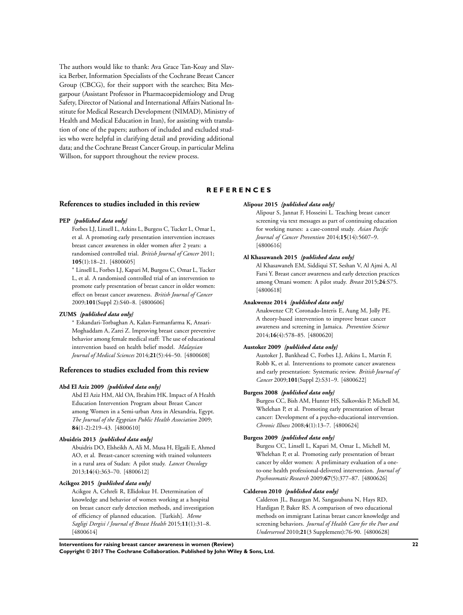<span id="page-24-0"></span>The authors would like to thank: Ava Grace Tan-Koay and Slavica Berber, Information Specialists of the Cochrane Breast Cancer Group (CBCG), for their support with the searches; Bita Mesgarpour (Assistant Professor in Pharmacoepidemiology and Drug Safety, Director of National and International Affairs National Institute for Medical Research Development (NIMAD), Ministry of Health and Medical Education in Iran), for assisting with translation of one of the papers; authors of included and excluded studies who were helpful in clarifying detail and providing additional data; and the Cochrane Breast Cancer Group, in particular Melina Willson, for support throughout the review process.

## **R E F E R E N C E S**

## **References to studies included in this review**

#### **PEP** *{published data only}*

Forbes LJ, Linsell L, Atkins L, Burgess C, Tucker L, Omar L, et al. A promoting early presentation intervention increases breast cancer awareness in older women after 2 years: a randomised controlled trial. *British Journal of Cancer* 2011; **105**(1):18–21. [4800605]

<sup>∗</sup> Linsell L, Forbes LJ, Kapari M, Burgess C, Omar L, Tucker L, et al. A randomised controlled trial of an intervention to promote early presentation of breast cancer in older women: effect on breast cancer awareness. *British Journal of Cancer* 2009;**101**(Suppl 2):S40–8. [4800606]

#### **ZUMS** *{published data only}*

<sup>∗</sup> Eskandari-Torbaghan A, Kalan-Farmanfarma K, Ansari-Moghaddam A, Zarei Z. Improving breast cancer preventive behavior among female medical staff: The use of educational intervention based on health belief model. *Malaysian Journal of Medical Sciences* 2014;**21**(5):44–50. [4800608]

#### **References to studies excluded from this review**

#### **Abd El Aziz 2009** *{published data only}*

Abd El Aziz HM, Akl OA, Ibrahim HK. Impact of A Health Education Intervention Program about Breast Cancer among Women in a Semi-urban Area in Alexandria, Egypt. *The Journal of the Egyptian Public Health Association* 2009; **84**(1-2):219–43. [4800610]

#### **Abuidris 2013** *{published data only}*

Abuidris DO, Elsheikh A, Ali M, Musa H, Elgaili E, Ahmed AO, et al. Breast-cancer screening with trained volunteers in a rural area of Sudan: A pilot study. *Lancet Oncology* 2013;**14**(4):363–70. [4800612]

#### **Acikgoz 2015** *{published data only}*

Acikgoz A, Cehreli R, Ellidokuz H. Determination of knowledge and behavior of women working at a hospital on breast cancer early detection methods, and investigation of efficiency of planned education. [Turkish]. *Meme Sagligi Dergisi / Journal of Breast Health* 2015;**11**(1):31–8. [4800614]

#### **Alipour 2015** *{published data only}*

Alipour S, Jannat F, Hosseini L. Teaching breast cancer screening via text messages as part of continuing education for working nurses: a case-control study. *Asian Pacific Journal of Cancer Prevention* 2014;**15**(14):5607–9. [4800616]

#### **Al Khasawaneh 2015** *{published data only}*

Al Khasawaneh EM, Siddiqui ST, Seshan V, Al Ajmi A, Al Farsi Y. Breast cancer awareness and early detection practices among Omani women: A pilot study. *Breast* 2015;**24**:S75. [4800618]

#### **Anakwenze 2014** *{published data only}*

Anakwenze CP, Coronado-Interis E, Aung M, Jolly PE. A theory-based intervention to improve breast cancer awareness and screening in Jamaica. *Prevention Science* 2014;**16**(4):578–85. [4800620]

#### **Austoker 2009** *{published data only}*

Austoker J, Bankhead C, Forbes LJ, Atkins L, Martin F, Robb K, et al. Interventions to promote cancer awareness and early presentation: Systematic review. *British Journal of Cancer* 2009;**101**(Suppl 2):S31–9. [4800622]

#### **Burgess 2008** *{published data only}*

Burgess CC, Bish AM, Hunter HS, Salkovskis P, Michell M, Whelehan P, et al. Promoting early presentation of breast cancer: Development of a psycho-educational intervention. *Chronic Illness* 2008;**4**(1):13–7. [4800624]

#### **Burgess 2009** *{published data only}*

Burgess CC, Linsell L, Kapari M, Omar L, Michell M, Whelehan P, et al. Promoting early presentation of breast cancer by older women: A preliminary evaluation of a oneto-one health professional-delivered intervention. *Journal of Psychosomatic Research* 2009;**67**(5):377–87. [4800626]

#### **Calderon 2010** *{published data only}*

Calderon JL, Bazargan M, Sangasubana N, Hays RD, Hardigan P, Baker RS. A comparison of two educational methods on immigrant Latinas breast cancer knowledge and screening behaviors. *Journal of Health Care for the Poor and Underserved* 2010;**21**(3 Supplement):76-90. [4800628]

**Interventions for raising breast cancer awareness in women (Review) 22 Copyright © 2017 The Cochrane Collaboration. Published by John Wiley & Sons, Ltd.**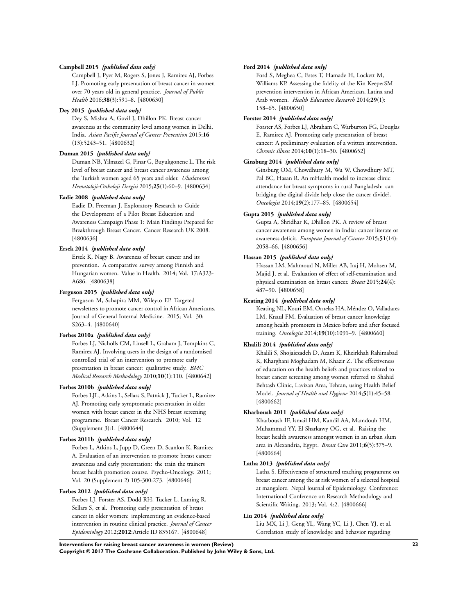#### **Campbell 2015** *{published data only}*

Campbell J, Pyer M, Rogers S, Jones J, Ramirez AJ, Forbes LJ. Promoting early presentation of breast cancer in women over 70 years old in general practice. *Journal of Public Health* 2016;**38**(3):591–8. [4800630]

#### **Dey 2015** *{published data only}*

Dey S, Mishra A, Govil J, Dhillon PK. Breast cancer awareness at the community level among women in Delhi, India. *Asian Pacific Journal of Cancer Prevention* 2015;**16** (13):5243–51. [4800632]

#### **Duman 2015** *{published data only}*

Duman NB, Yilmazel G, Pinar G, Buyukgonenc L. The risk level of breast cancer and breast cancer awareness among the Turkish women aged 65 years and older. *Uluslararasi Hematoloji-Onkoloji Dergisi* 2015;**25**(1):60–9. [4800634]

#### **Eadie 2008** *{published data only}*

Eadie D, Freeman J. Exploratory Research to Guide the Development of a Pilot Breast Education and Awareness Campaign Phase 1: Main Findings Prepared for Breakthrough Breast Cancer. Cancer Research UK 2008. [4800636]

#### **Ersek 2014** *{published data only}*

Ersek K, Nagy B. Awareness of breast cancer and its prevention. A comparative survey among Finnish and Hungarian women. Value in Health. 2014; Vol. 17:A323- A686. [4800638]

#### **Ferguson 2015** *{published data only}*

Ferguson M, Schapira MM, Wileyto EP. Targeted newsletters to promote cancer control in African Americans. Journal of General Internal Medicine. 2015; Vol. 30: S263–4. [4800640]

#### **Forbes 2010a** *{published data only}*

Forbes LJ, Nicholls CM, Linsell L, Graham J, Tompkins C, Ramirez AJ. Involving users in the design of a randomised controlled trial of an intervention to promote early presentation in breast cancer: qualitative study. *BMC Medical Research Methodology* 2010;**10**(1):110. [4800642]

#### **Forbes 2010b** *{published data only}*

Forbes LJL, Atkins L, Sellars S, Patnick J, Tucker L, Ramirez AJ. Promoting early symptomatic presentation in older women with breast cancer in the NHS breast screening programme. Breast Cancer Research. 2010; Vol. 12 (Supplement 3):1. [4800644]

## **Forbes 2011b** *{published data only}*

Forbes L, Atkins L, Jupp D, Green D, Scanlon K, Ramirez A. Evaluation of an intervention to promote breast cancer awareness and early presentation: the train the trainers breast health promotion course. Psycho-Oncology. 2011; Vol. 20 (Supplement 2) 105-300:273. [4800646]

#### **Forbes 2012** *{published data only}*

Forbes LJ, Forster AS, Dodd RH, Tucker L, Laming R, Sellars S, et al. Promoting early presentation of breast cancer in older women: implementing an evidence-based intervention in routine clinical practice. *Journal of Cancer Epidemiology* 2012;**2012**:Article ID 835167. [4800648]

#### **Ford 2014** *{published data only}*

Ford S, Meghea C, Estes T, Hamade H, Lockett M, Williams KP. Assessing the fidelity of the Kin KeeperSM prevention intervention in African American, Latina and Arab women. *Health Education Research* 2014;**29**(1): 158–65. [4800650]

#### **Forster 2014** *{published data only}*

Forster AS, Forbes LJ, Abraham C, Warburton FG, Douglas E, Ramirez AJ. Promoting early presentation of breast cancer: A preliminary evaluation of a written intervention. *Chronic Illness* 2014;**10**(1):18–30. [4800652]

#### **Ginsburg 2014** *{published data only}*

Ginsburg OM, Chowdhury M, Wu W, Chowdhury MT, Pal BC, Hasan R. An mHealth model to increase clinic attendance for breast symptoms in rural Bangladesh: can bridging the digital divide help close the cancer divide?. *Oncologist* 2014;**19**(2):177–85. [4800654]

#### **Gupta 2015** *{published data only}*

Gupta A, Shridhar K, Dhillon PK. A review of breast cancer awareness among women in India: cancer literate or awareness deficit. *European Journal of Cancer* 2015;**51**(14): 2058–66. [4800656]

#### **Hassan 2015** *{published data only}*

Hassan LM, Mahmoud N, Miller AB, Iraj H, Mohsen M, Majid J, et al. Evaluation of effect of self-examination and physical examination on breast cancer. *Breast* 2015;**24**(4): 487–90. [4800658]

#### **Keating 2014** *{published data only}*

Keating NL, Kouri EM, Ornelas HA, Méndez O, Valladares LM, Knaul FM. Evaluation of breast cancer knowledge among health promoters in Mexico before and after focused training. *Oncologist* 2014;**19**(10):1091–9. [4800660]

#### **Khalili 2014** *{published data only}*

Khalili S, Shojaiezadeh D, Azam K, Kheirkhah Rahimabad K, Kharghani Moghadam M, Khazir Z. The effectiveness of education on the health beliefs and practices related to breast cancer screening among women referred to Shahid Behtash Clinic, Lavizan Area, Tehran, using Health Belief Model. *Journal of Health and Hygiene* 2014;**5**(1):45–58. [4800662]

#### **Kharboush 2011** *{published data only}*

Kharboush IF, Ismail HM, Kandil AA, Mamdouh HM, Muhammad YY, El Sharkawy OG, et al. Raising the breast health awareness amongst women in an urban slum area in Alexandria, Egypt. *Breast Care* 2011;**6**(5):375–9. [4800664]

#### **Latha 2013** *{published data only}*

Latha S. Effectiveness of structured teaching programme on breast cancer among the at risk women of a selected hospital at mangalore. Nepal Journal of Epidemiology. Conference: International Conference on Research Methodology and Scientific Writing. 2013; Vol. 4:2. [4800666]

#### **Liu 2014** *{published data only}*

Liu MX, Li J, Geng YL, Wang YC, Li J, Chen YJ, et al. Correlation study of knowledge and behavior regarding

**Interventions for raising breast cancer awareness in women (Review) 23**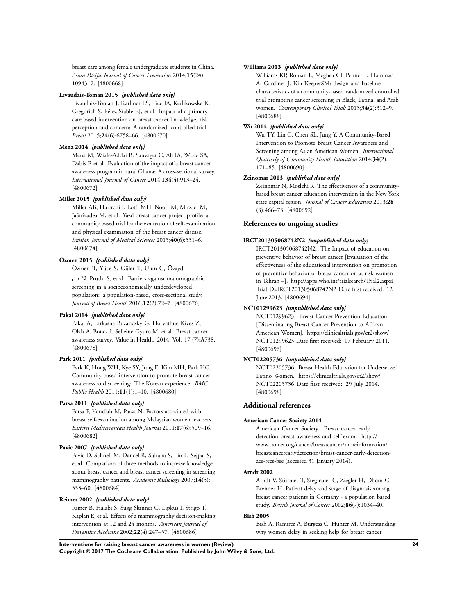breast care among female undergraduate students in China. *Asian Pacific Journal of Cancer Prevention* 2014;**15**(24): 10943–7. [4800668]

#### **Livaudais-Toman 2015** *{published data only}*

Livaudais-Toman J, Karliner LS, Tice JA, Kerlikowske K, Gregorich S, Pérez-Stable EJ, et al. Impact of a primary care based intervention on breast cancer knowledge, risk perception and concern: A randomized, controlled trial. *Breast* 2015;**24**(6):6758–66. [4800670]

#### **Mena 2014** *{published data only}*

Mena M, Wiafe-Addai B, Sauvaget C, Ali IA, Wiafe SA, Dabis F, et al. Evaluation of the impact of a breast cancer awareness program in rural Ghana: A cross-sectional survey. *International Journal of Cancer* 2014;**134**(4):913–24. [4800672]

#### **Miller 2015** *{published data only}*

Miller AB, Harirchi I, Lotfi MH, Noori M, Mirzaei M, Jafarizadea M, et al. Yazd breast cancer project profile; a community based trial for the evaluation of self-examination and physical examination of the breast cancer disease. *Iranian Journal of Medical Sciences* 2015;**40**(6):531–6. [4800674]

#### **Özmen 2015** *{published data only}*

Özmen T, Yüce S, Güler T, Ulun C, Özayd

n N, Pruthi S, et al. Barriers against mammographic screening in a socioeconomically underdeveloped population: a population-based, cross-sectional study. *Journal of Breast Health* 2016;**12**(2):72–7. [4800676]

#### **Pakai 2014** *{published data only}*

Pakai A, Farkasne Buzanczky G, Horvathne Kives Z, Olah A, Boncz I, Selleine Gyuro M, et al. Breast cancer awareness survey. Value in Health. 2014; Vol. 17 (7):A738. [4800678]

#### **Park 2011** *{published data only}*

Park K, Hong WH, Kye SY, Jung E, Kim MH, Park HG. Community-based intervention to promote breast cancer awareness and screening: The Korean experience. *BMC Public Health* 2011;**11**(1):1–10. [4800680]

## **Parsa 2011** *{published data only}*

Parsa P, Kandiah M, Parsa N. Factors associated with breast self-examination among Malaysian women teachers. *Eastern Mediterranean Health Journal* 2011;**17**(6):509–16. [4800682]

#### **Pavic 2007** *{published data only}*

Pavic D, Schnell M, Dancel R, Sultana S, Lin L, Sejpal S, et al. Comparison of three methods to increase knowledge about breast cancer and breast cancer screening in screening mammography patients. *Academic Radiology* 2007;**14**(5): 553–60. [4800684]

#### **Reimer 2002** *{published data only}*

Rimer B, Halabi S, Sugg Skinner C, Lipkus I, Strigo T, Kaplan E, et al. Effects of a mammography decision-making intervention at 12 and 24 months. *American Journal of Preventive Medicine* 2002;**22**(4):247–57. [4800686]

#### **Williams 2013** *{published data only}*

Williams KP, Roman L, Meghea CI, Penner L, Hammad A, Gardiner J. Kin KeeperSM: design and baseline characteristics of a community-based randomized controlled trial promoting cancer screening in Black, Latina, and Arab women. *Contemporary Clinical Trials* 2013;**34**(2):312–9. [4800688]

#### **Wu 2014** *{published data only}*

Wu TY, Lin C, Chen SL, Jung Y. A Community-Based Intervention to Promote Breast Cancer Awareness and Screening among Asian American Women. *International Quarterly of Community Health Education* 2014;**34**(2): 171–85. [4800690]

#### **Zeinomar 2013** *{published data only}*

Zeinomar N, Moslehi R. The effectiveness of a communitybased breast cancer education intervention in the New York state capital region. *Journal of Cancer Education* 2013;**28** (3):466–73. [4800692]

## **References to ongoing studies**

#### **IRCT201305068742N2** *{unpublished data only}*

IRCT201305068742N2. The Impact of education on preventive behavior of breast cancer [Evaluation of the effectiveness of the educational intervention on promotion of preventive behavior of breast cancer on at risk women in Tehran –]. http://apps.who.int/trialsearch/Trial2.aspx? TrialID=IRCT201305068742N2 Date first received: 12 June 2013. [4800694]

#### **NCT01299623** *{unpublished data only}*

NCT01299623. Breast Cancer Prevention Education [Disseminating Breast Cancer Prevention to African American Women]. https://clinicaltrials.gov/ct2/show/ NCT01299623 Date first received: 17 February 2011. [4800696]

#### **NCT02205736** *{unpublished data only}*

NCT02205736. Breast Health Education for Underserved Latino Women. https://clinicaltrials.gov/ct2/show/ NCT02205736 Date first received: 29 July 2014. [4800698]

#### **Additional references**

#### **American Cancer Society 2014**

American Cancer Society. Breast cancer early detection breast awareness and self-exam. http:// www.cancer.org/cancer/breastcancer/moreinformation/ breastcancerearlydetection/breast-cancer-early-detectionacs-recs-bse (accessed 31 January 2014).

#### **Arndt 2002**

Arndt V, Stürmer T, Stegmaier C, Ziegler H, Dhom G, Brenner H. Patient delay and stage of diagnosis among breast cancer patients in Germany - a population based study. *British Journal of Cancer* 2002;**86**(7):1034–40.

#### **Bish 2005**

Bish A, Ramirez A, Burgess C, Hunter M. Understanding why women delay in seeking help for breast cancer

**Interventions for raising breast cancer awareness in women (Review) 24**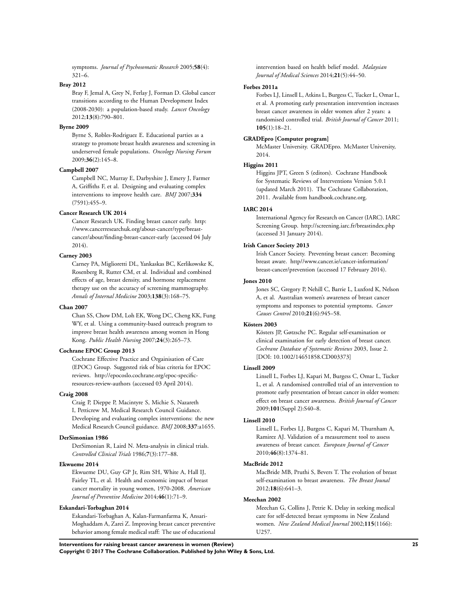symptoms. *Journal of Psychosomatic Research* 2005;**58**(4): 321–6.

#### **Bray 2012**

Bray F, Jemal A, Grey N, Ferlay J, Forman D. Global cancer transitions according to the Human Development Index (2008-2030): a population-based study. *Lancet Oncology* 2012;**13**(8):790–801.

#### **Byrne 2009**

Byrne S, Robles-Rodriguez E. Educational parties as a strategy to promote breast health awareness and screening in underserved female populations. *Oncology Nursing Forum* 2009;**36**(2):145–8.

#### **Campbell 2007**

Campbell NC, Murray E, Darbyshire J, Emery J, Farmer A, Griffiths F, et al. Designing and evaluating complex interventions to improve health care. *BMJ* 2007;**334** (7591):455–9.

#### **Cancer Research UK 2014**

Cancer Research UK. Finding breast cancer early. http: //www.cancerresearchuk.org/about-cancer/type/breastcancer/about/finding-breast-cancer-early (accessed 04 July 2014).

#### **Carney 2003**

Carney PA, Miglioretti DL, Yankaskas BC, Kerlikowske K, Rosenberg R, Rutter CM, et al. Individual and combined effects of age, breast density, and hormone replacement therapy use on the accuracy of screening mammography. *Annals of Internal Medicine* 2003;**138**(3):168–75.

#### **Chan 2007**

Chan SS, Chow DM, Loh EK, Wong DC, Cheng KK, Fung WY, et al. Using a community-based outreach program to improve breast health awareness among women in Hong Kong. *Public Health Nursing* 2007;**24**(3):265–73.

#### **Cochrane EPOC Group 2013**

Cochrane Effective Practice and Orgainisation of Care (EPOC) Group. Suggested risk of bias criteria for EPOC reviews. http://epocoslo.cochrane.org/epoc-specificresources-review-authors (accessed 03 April 2014).

#### **Craig 2008**

Craig P, Dieppe P, Macintyre S, Michie S, Nazareth I, Petticrew M, Medical Research Council Guidance. Developing and evaluating complex interventions: the new Medical Research Council guidance. *BMJ* 2008;**337**:a1655.

#### **DerSimonian 1986**

DerSimonian R, Laird N. Meta-analysis in clinical trials. *Controlled Clinical Trials* 1986;**7**(3):177–88.

#### **Ekwueme 2014**

Ekwueme DU, Guy GP Jr, Rim SH, White A, Hall IJ, Fairley TL, et al. Health and economic impact of breast cancer mortality in young women, 1970-2008. *American Journal of Preventive Medicine* 2014;**46**(1):71–9.

#### **Eskandari-Torbaghan 2014**

Eskandari-Torbaghan A, Kalan-Farmanfarma K, Ansari-Moghaddam A, Zarei Z. Improving breast cancer preventive behavior among female medical staff: The use of educational intervention based on health belief model. *Malaysian Journal of Medical Sciences* 2014;**21**(5):44–50.

#### **Forbes 2011a**

Forbes LJ, Linsell L, Atkins L, Burgess C, Tucker L, Omar L, et al. A promoting early presentation intervention increases breast cancer awareness in older women after 2 years: a randomised controlled trial. *British Journal of Cancer* 2011; **105**(1):18–21.

#### **GRADEpro [Computer program]**

McMaster University. GRADEpro. McMaster University, 2014.

#### **Higgins 2011**

Higgins JPT, Green S (editors). Cochrane Handbook for Systematic Reviews of Interventions Version 5.0.1 (updated March 2011). The Cochrane Collaboration, 2011. Available from handbook.cochrane.org.

#### **IARC 2014**

International Agency for Research on Cancer (IARC). IARC Screening Group. http://screening.iarc.fr/breastindex.php (accessed 31 January 2014).

#### **Irish Cancer Society 2013**

Irish Cancer Society. Preventing breast cancer: Becoming breast aware. http//www.cancer.ie/cancer-information/ breast-cancer/prevention (accessed 17 February 2014).

## **Jones 2010**

Jones SC, Gregory P, Nehill C, Barrie L, Luxford K, Nelson A, et al. Australian women's awareness of breast cancer symptoms and responses to potential symptoms. *Cancer Causes Control* 2010;**21**(6):945–58.

#### **Kösters 2003**

Kösters JP, Gøtzsche PC. Regular self-examination or clinical examination for early detection of breast cancer. *Cochrane Database of Systematic Reviews* 2003, Issue 2. [DOI: 10.1002/14651858.CD003373]

#### **Linsell 2009**

Linsell L, Forbes LJ, Kapari M, Burgess C, Omar L, Tucker L, et al. A randomised controlled trial of an intervention to promote early presentation of breast cancer in older women: effect on breast cancer awareness. *British Journal of Cancer* 2009;**101**(Suppl 2):S40–8.

#### **Linsell 2010**

Linsell L, Forbes LJ, Burgess C, Kapari M, Thurnham A, Ramirez AJ. Validation of a measurement tool to assess awareness of breast cancer. *European Journal of Cancer* 2010;**46**(8):1374–81.

#### **MacBride 2012**

MacBride MB, Pruthi S, Bevers T. The evolution of breast self-examination to breast awareness. *The Breast Jounal* 2012;**18**(6):641–3.

#### **Meechan 2002**

Meechan G, Collins J, Petrie K. Delay in seeking medical care for self-detected breast symptoms in New Zealand women. *New Zealand Medical Journal* 2002;**115**(1166): U257.

**Interventions for raising breast cancer awareness in women (Review) 25**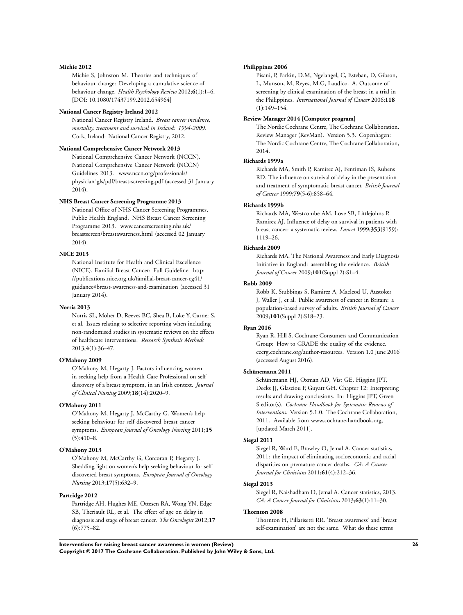#### **Michie 2012**

Michie S, Johnston M. Theories and techniques of behaviour change: Developing a cumulative science of behaviour change. *Health Psychology Review* 2012;**6**(1):1–6. [DOI: 10.1080/17437199.2012.654964]

## **National Cancer Registry Ireland 2012**

National Cancer Registry Ireland. *Breast cancer incidence, mortality, treatment and survival in Ireland: 1994-2009*. Cork, Ireland: National Cancer Registry, 2012.

## **National Comprehensive Cancer Network 2013**

National Comprehensive Cancer Network (NCCN). National Comprehensive Cancer Network (NCCN) Guidelines 2013. www.nccn.org/professionals/ physician˙gls/pdf/breast-screening.pdf (accessed 31 January 2014).

## **NHS Breast Cancer Screening Programme 2013**

National Office of NHS Cancer Screening Programmes, Public Health England. NHS Breast Cancer Screening Programme 2013. www.cancerscreening.nhs.uk/ breastscreen/breastawareness.html (accessed 02 January 2014).

## **NICE 2013**

National Institute for Health and Clinical Excellence (NICE). Familial Breast Cancer: Full Guideline. http: //publications.nice.org.uk/familial-breast-cancer-cg41/ guidance#breast-awareness-and-examination (accessed 31 January 2014).

#### **Norris 2013**

Norris SL, Moher D, Reeves BC, Shea B, Loke Y, Garner S, et al. Issues relating to selective reporting when including non-randomised studies in systematic reviews on the effects of healthcare interventions. *Research Synthesis Methods* 2013;**4**(1):36–47.

#### **O'Mahony 2009**

O'Mahony M, Hegarty J. Factors influencing women in seeking help from a Health Care Professional on self discovery of a breast symptom, in an Irish context. *Journal of Clinical Nursing* 2009;**18**(14):2020–9.

#### **O'Mahony 2011**

O'Mahony M, Hegarty J, McCarthy G. Women's help seeking behaviour for self discovered breast cancer symptoms. *European Journal of Oncology Nursing* 2011;**15**  $(5):410-8.$ 

#### **O'Mahony 2013**

O'Mahony M, McCarthy G, Corcoran P, Hegarty J. Shedding light on women's help seeking behaviour for self discovered breast symptoms. *European Journal of Oncology Nursing* 2013;**17**(5):632–9.

## **Partridge 2012**

Partridge AH, Hughes ME, Ottesen RA, Wong YN, Edge SB, Theriault RL, et al. The effect of age on delay in diagnosis and stage of breast cancer. *The Oncologist* 2012;**17**  $(6):775-82.$ 

#### **Philippines 2006**

Pisani, P, Parkin, D.M, Ngelangel, C, Esteban, D, Gibson, L, Munson, M, Reyes, M.G, Laudico. A. Outcome of screening by clinical examination of the breast in a trial in the Philippines. *International Journal of Cancer* 2006;**118** (1):149–154.

#### **Review Manager 2014 [Computer program]**

The Nordic Cochrane Centre, The Cochrane Collaboration. Review Manager (RevMan). Version 5.3. Copenhagen: The Nordic Cochrane Centre, The Cochrane Collaboration, 2014.

#### **Richards 1999a**

Richards MA, Smith P, Ramirez AJ, Fentiman IS, Rubens RD. The influence on survival of delay in the presentation and treatment of symptomatic breast cancer. *British Journal of Cancer* 1999;**79**(5-6):858–64.

#### **Richards 1999b**

Richards MA, Westcombe AM, Love SB, Littlejohns P, Ramirez AJ. Influence of delay on survival in patients with breast cancer: a systematic review. *Lancet* 1999;**353**(9159): 1119–26.

#### **Richards 2009**

Richards MA. The National Awareness and Early Diagnosis Initiative in England: assembling the evidence. *British Journal of Cancer* 2009;**101**(Suppl 2):S1–4.

#### **Robb 2009**

Robb K, Stubbings S, Ramirez A, Macleod U, Austoker J, Waller J, et al. Public awareness of cancer in Britain: a population-based survey of adults. *British Journal of Cancer* 2009;**101**(Suppl 2):S18–23.

#### **Ryan 2016**

Ryan R, Hill S. Cochrane Consumers and Communication Group: How to GRADE the quality of the evidence. cccrg.cochrane.org/author-resources. Version 1.0 June 2016 (accessed August 2016).

#### **Schünemann 2011**

Schünemann HJ, Oxman AD, Vist GE, Higgins JPT, Deeks JJ, Glasziou P, Guyatt GH. Chapter 12: Interpreting results and drawing conclusions. In: Higgins JPT, Green S editor(s). *Cochrane Handbook for Systematic Reviews of Interventions*. Version 5.1.0. The Cochrane Collaboration, 2011. Available from www.cochrane-handbook.org, [updated March 2011].

#### **Siegal 2011**

Siegel R, Ward E, Brawley O, Jemal A. Cancer statistics, 2011: the impact of eliminating socioeconomic and racial disparities on premature cancer deaths. *CA: A Cancer Journal for Clinicians* 2011;**61**(4):212–36.

#### **Siegal 2013**

Siegel R, Naishadham D, Jemal A. Cancer statistics, 2013. *CA: A Cancer Journal for Clinicians* 2013;**63**(1):11–30.

#### **Thornton 2008**

Thornton H, Pillarisetti RR. 'Breast awareness' and 'breast self-examination' are not the same. What do these terms

**Interventions for raising breast cancer awareness in women (Review) 26**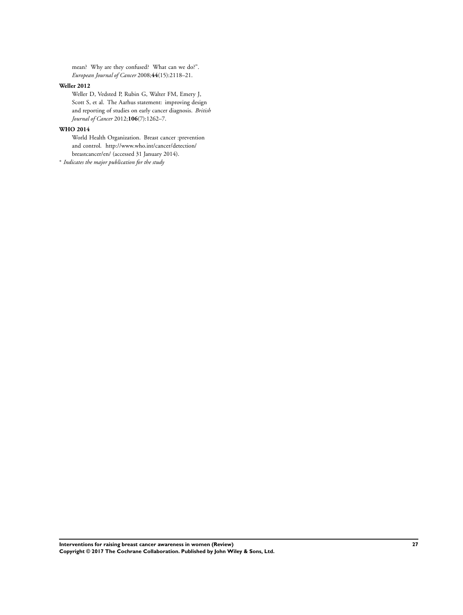mean? Why are they confused? What can we do?". *European Journal of Cancer* 2008;**44**(15):2118–21.

#### **Weller 2012**

Weller D, Vedsted P, Rubin G, Walter FM, Emery J, Scott S, et al. The Aarhus statement: improving design and reporting of studies on early cancer diagnosis. *British Journal of Cancer* 2012;**106**(7):1262–7.

## **WHO 2014**

World Health Organization. Breast cancer :prevention and control. http://www.who.int/cancer/detection/ breastcancer/en/ (accessed 31 January 2014).

∗ *Indicates the major publication for the study*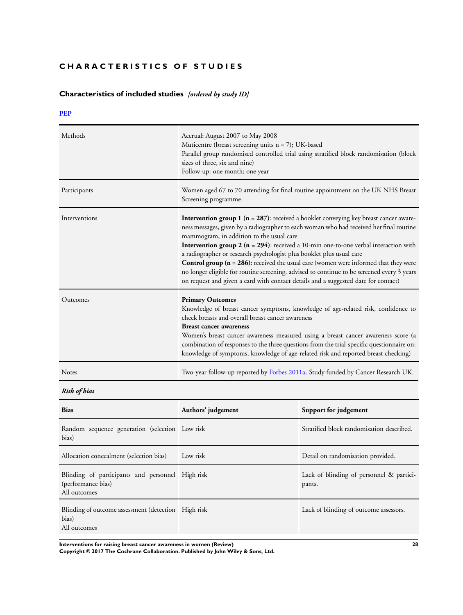## <span id="page-30-0"></span>**CHARACTERISTICS OF STUDIES**

# **Characteristics of included studies** *[ordered by study ID]*

## **[PEP](#page-24-0)**

| Methods       | Accrual: August 2007 to May 2008<br>Muticentre (breast screening units $n = 7$ ); UK-based<br>Parallel group randomised controlled trial using stratified block randomisation (block<br>sizes of three, six and nine)<br>Follow-up: one month; one year                                                                                                                                                                                                                                                                                                                                                                                                                                                                 |
|---------------|-------------------------------------------------------------------------------------------------------------------------------------------------------------------------------------------------------------------------------------------------------------------------------------------------------------------------------------------------------------------------------------------------------------------------------------------------------------------------------------------------------------------------------------------------------------------------------------------------------------------------------------------------------------------------------------------------------------------------|
| Participants  | Women aged 67 to 70 attending for final routine appointment on the UK NHS Breast<br>Screening programme                                                                                                                                                                                                                                                                                                                                                                                                                                                                                                                                                                                                                 |
| Interventions | <b>Intervention group 1 (<math>n = 287</math>)</b> : received a booklet conveying key breast cancer aware-<br>ness messages, given by a radiographer to each woman who had received her final routine<br>mammogram, in addition to the usual care<br>Intervention group $2$ ( $n = 294$ ): received a 10-min one-to-one verbal interaction with<br>a radiographer or research psychologist plus booklet plus usual care<br><b>Control group (<math>n = 286</math>):</b> received the usual care (women were informed that they were<br>no longer eligible for routine screening, advised to continue to be screened every 3 years<br>on request and given a card with contact details and a suggested date for contact) |
| Outcomes      | <b>Primary Outcomes</b><br>Knowledge of breast cancer symptoms, knowledge of age-related risk, confidence to<br>check breasts and overall breast cancer awareness<br><b>Breast cancer awareness</b><br>Women's breast cancer awareness measured using a breast cancer awareness score (a<br>combination of responses to the three questions from the trial-specific questionnaire on:<br>knowledge of symptoms, knowledge of age-related risk and reported breast checking)                                                                                                                                                                                                                                             |
| Notes         | Two-year follow-up reported by Forbes 2011a. Study funded by Cancer Research UK.                                                                                                                                                                                                                                                                                                                                                                                                                                                                                                                                                                                                                                        |

*Risk of bias*

| <b>Bias</b>                                                                            | Authors' judgement | Support for judgement                              |
|----------------------------------------------------------------------------------------|--------------------|----------------------------------------------------|
| Random sequence generation (selection Low risk<br>bias)                                |                    | Stratified block randomisation described.          |
| Allocation concealment (selection bias)                                                | Low risk           | Detail on randomisation provided.                  |
| Blinding of participants and personnel High risk<br>(performance bias)<br>All outcomes |                    | Lack of blinding of personnel & partici-<br>pants. |
| Blinding of outcome assessment (detection High risk<br>bias)<br>All outcomes           |                    | Lack of blinding of outcome assessors.             |

**Interventions for raising breast cancer awareness in women (Review) 28**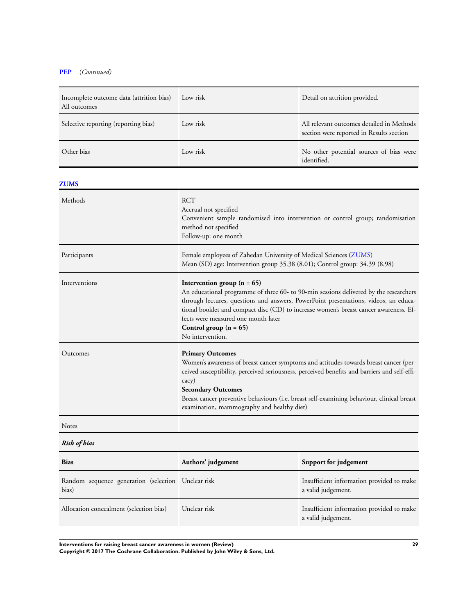## **[PEP](#page-24-0)** (*Continued)*

| Incomplete outcome data (attrition bias)<br>All outcomes | Low risk<br>Detail on attrition provided.                                                                                                                                                                                                                                                                                                                                                          |                                                                                       |
|----------------------------------------------------------|----------------------------------------------------------------------------------------------------------------------------------------------------------------------------------------------------------------------------------------------------------------------------------------------------------------------------------------------------------------------------------------------------|---------------------------------------------------------------------------------------|
| Selective reporting (reporting bias)                     | Low risk                                                                                                                                                                                                                                                                                                                                                                                           | All relevant outcomes detailed in Methods<br>section were reported in Results section |
| Other bias                                               | Low risk                                                                                                                                                                                                                                                                                                                                                                                           | No other potential sources of bias were<br>identified.                                |
| <b>ZUMS</b>                                              |                                                                                                                                                                                                                                                                                                                                                                                                    |                                                                                       |
| Methods                                                  | <b>RCT</b><br>Accrual not specified<br>Convenient sample randomised into intervention or control group; randomisation<br>method not specified<br>Follow-up: one month                                                                                                                                                                                                                              |                                                                                       |
| Participants                                             | Female employees of Zahedan University of Medical Sciences (ZUMS)<br>Mean (SD) age: Intervention group 35.38 (8.01); Control group: 34.39 (8.98)                                                                                                                                                                                                                                                   |                                                                                       |
| Interventions                                            | Intervention group $(n = 65)$<br>An educational programme of three 60- to 90-min sessions delivered by the researchers<br>through lectures, questions and answers, PowerPoint presentations, videos, an educa-<br>tional booklet and compact disc (CD) to increase women's breast cancer awareness. Ef-<br>fects were measured one month later<br>Control group $(n = 65)$<br>No intervention.     |                                                                                       |
| Outcomes                                                 | <b>Primary Outcomes</b><br>Women's awareness of breast cancer symptoms and attitudes towards breast cancer (per-<br>ceived susceptibility, perceived seriousness, perceived benefits and barriers and self-effi-<br>cacy)<br><b>Secondary Outcomes</b><br>Breast cancer preventive behaviours (i.e. breast self-examining behaviour, clinical breast<br>examination, mammography and healthy diet) |                                                                                       |
| <b>Notes</b>                                             |                                                                                                                                                                                                                                                                                                                                                                                                    |                                                                                       |
| <b>Risk of bias</b>                                      |                                                                                                                                                                                                                                                                                                                                                                                                    |                                                                                       |
| Riss                                                     | Authors' indoement                                                                                                                                                                                                                                                                                                                                                                                 | Support for indoement                                                                 |

| DIAS.                                                       | Authors judgement | <b>Support for Judgement</b>                                    |
|-------------------------------------------------------------|-------------------|-----------------------------------------------------------------|
| Random sequence generation (selection Unclear risk<br>bias) |                   | Insufficient information provided to make<br>a valid judgement. |
| Allocation concealment (selection bias)                     | Unclear risk      | Insufficient information provided to make<br>a valid judgement. |

**Interventions for raising breast cancer awareness in women (Review) 29**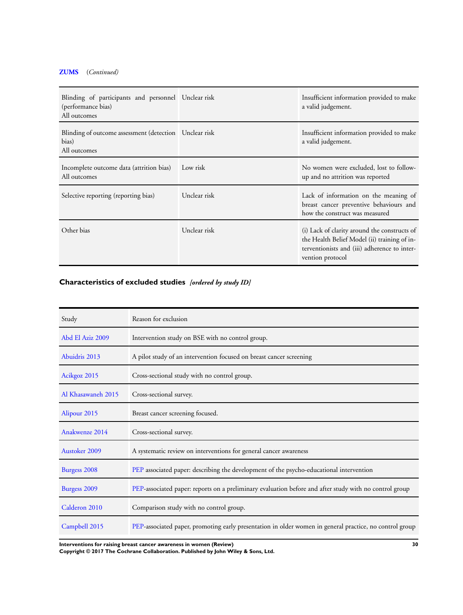## <span id="page-32-0"></span>**[ZUMS](#page-24-0)** (*Continued)*

| Blinding of participants and personnel Unclear risk<br>(performance bias)<br>All outcomes |              | Insufficient information provided to make<br>a valid judgement.                                                                                                  |
|-------------------------------------------------------------------------------------------|--------------|------------------------------------------------------------------------------------------------------------------------------------------------------------------|
| Blinding of outcome assessment (detection Unclear risk<br>bias)<br>All outcomes           |              | Insufficient information provided to make<br>a valid judgement.                                                                                                  |
| Incomplete outcome data (attrition bias)<br>All outcomes                                  | Low risk     | No women were excluded, lost to follow-<br>up and no attrition was reported                                                                                      |
| Selective reporting (reporting bias)                                                      | Unclear risk | Lack of information on the meaning of<br>breast cancer preventive behaviours and<br>how the construct was measured                                               |
| Other bias                                                                                | Unclear risk | (i) Lack of clarity around the constructs of<br>the Health Belief Model (ii) training of in-<br>terventionists and (iii) adherence to inter-<br>vention protocol |

# **Characteristics of excluded studies** *[ordered by study ID]*

| Study              | Reason for exclusion                                                                                    |
|--------------------|---------------------------------------------------------------------------------------------------------|
| Abd El Aziz 2009   | Intervention study on BSE with no control group.                                                        |
| Abuidris 2013      | A pilot study of an intervention focused on breast cancer screening                                     |
| Acikgoz 2015       | Cross-sectional study with no control group.                                                            |
| Al Khasawaneh 2015 | Cross-sectional survey.                                                                                 |
| Alipour 2015       | Breast cancer screening focused.                                                                        |
| Anakwenze 2014     | Cross-sectional survey.                                                                                 |
| Austoker 2009      | A systematic review on interventions for general cancer awareness                                       |
| Burgess 2008       | PEP associated paper: describing the development of the psycho-educational intervention                 |
| Burgess 2009       | PEP-associated paper: reports on a preliminary evaluation before and after study with no control group  |
| Calderon 2010      | Comparison study with no control group.                                                                 |
| Campbell 2015      | PEP-associated paper, promoting early presentation in older women in general practice, no control group |

**Interventions for raising breast cancer awareness in women (Review) 30**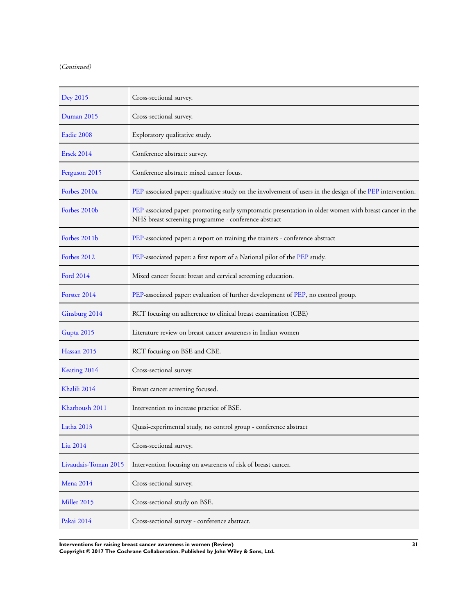| Dey 2015             | Cross-sectional survey.                                                                                                                                         |
|----------------------|-----------------------------------------------------------------------------------------------------------------------------------------------------------------|
| Duman 2015           | Cross-sectional survey.                                                                                                                                         |
| Eadie 2008           | Exploratory qualitative study.                                                                                                                                  |
| <b>Ersek 2014</b>    | Conference abstract: survey.                                                                                                                                    |
| Ferguson 2015        | Conference abstract: mixed cancer focus.                                                                                                                        |
| Forbes 2010a         | PEP-associated paper: qualitative study on the involvement of users in the design of the PEP intervention.                                                      |
| Forbes 2010b         | PEP-associated paper: promoting early symptomatic presentation in older women with breast cancer in the<br>NHS breast screening programme - conference abstract |
| Forbes 2011b         | PEP-associated paper: a report on training the trainers - conference abstract                                                                                   |
| Forbes 2012          | PEP-associated paper: a first report of a National pilot of the PEP study.                                                                                      |
| Ford 2014            | Mixed cancer focus: breast and cervical screening education.                                                                                                    |
| Forster 2014         | PEP-associated paper: evaluation of further development of PEP, no control group.                                                                               |
| Ginsburg 2014        | RCT focusing on adherence to clinical breast examination (CBE)                                                                                                  |
| Gupta 2015           | Literature review on breast cancer awareness in Indian women                                                                                                    |
| Hassan 2015          | RCT focusing on BSE and CBE.                                                                                                                                    |
| Keating 2014         | Cross-sectional survey.                                                                                                                                         |
| Khalili 2014         | Breast cancer screening focused.                                                                                                                                |
| Kharboush 2011       | Intervention to increase practice of BSE.                                                                                                                       |
| Latha 2013           | Quasi-experimental study, no control group - conference abstract                                                                                                |
| Liu 2014             | Cross-sectional survey.                                                                                                                                         |
| Livaudais-Toman 2015 | Intervention focusing on awareness of risk of breast cancer.                                                                                                    |
| <b>Mena 2014</b>     | Cross-sectional survey.                                                                                                                                         |
| Miller 2015          | Cross-sectional study on BSE.                                                                                                                                   |
| Pakai 2014           | Cross-sectional survey - conference abstract.                                                                                                                   |

**Interventions for raising breast cancer awareness in women (Review) 31 Copyright © 2017 The Cochrane Collaboration. Published by John Wiley & Sons, Ltd.**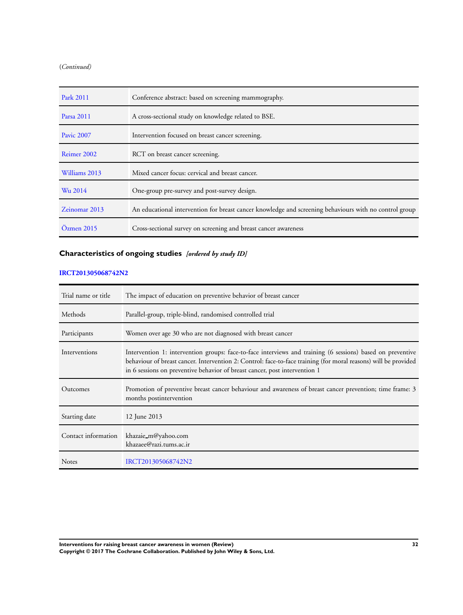| Park 2011         | Conference abstract: based on screening mammography.                                                   |
|-------------------|--------------------------------------------------------------------------------------------------------|
| Parsa 2011        | A cross-sectional study on knowledge related to BSE.                                                   |
| <b>Pavic 2007</b> | Intervention focused on breast cancer screening.                                                       |
| Reimer 2002       | RCT on breast cancer screening.                                                                        |
| Williams 2013     | Mixed cancer focus: cervical and breast cancer.                                                        |
| Wu 2014           | One-group pre-survey and post-survey design.                                                           |
| Zeinomar 2013     | An educational intervention for breast cancer knowledge and screening behaviours with no control group |
| $Öz$ men 2015     | Cross-sectional survey on screening and breast cancer awareness                                        |

## **Characteristics of ongoing studies** *[ordered by study ID]*

## **[IRCT201305068742N2](#page-24-0)**

| Trial name or title | The impact of education on preventive behavior of breast cancer                                                                                                                                                                                                                                             |
|---------------------|-------------------------------------------------------------------------------------------------------------------------------------------------------------------------------------------------------------------------------------------------------------------------------------------------------------|
| Methods             | Parallel-group, triple-blind, randomised controlled trial                                                                                                                                                                                                                                                   |
| Participants        | Women over age 30 who are not diagnosed with breast cancer                                                                                                                                                                                                                                                  |
| Interventions       | Intervention 1: intervention groups: face-to-face interviews and training (6 sessions) based on preventive<br>behaviour of breast cancer. Intervention 2: Control: face-to-face training (for moral reasons) will be provided<br>in 6 sessions on preventive behavior of breast cancer, post intervention 1 |
| Outcomes            | Promotion of preventive breast cancer behaviour and awareness of breast cancer prevention; time frame: 3<br>months postintervention                                                                                                                                                                         |
| Starting date       | 12 June 2013                                                                                                                                                                                                                                                                                                |
| Contact information | khazaie_m@yahoo.com<br>khazaee@razi.tums.ac.ir                                                                                                                                                                                                                                                              |
| <b>Notes</b>        | IRCT201305068742N2                                                                                                                                                                                                                                                                                          |

**Interventions for raising breast cancer awareness in women (Review) 32 Copyright © 2017 The Cochrane Collaboration. Published by John Wiley & Sons, Ltd.**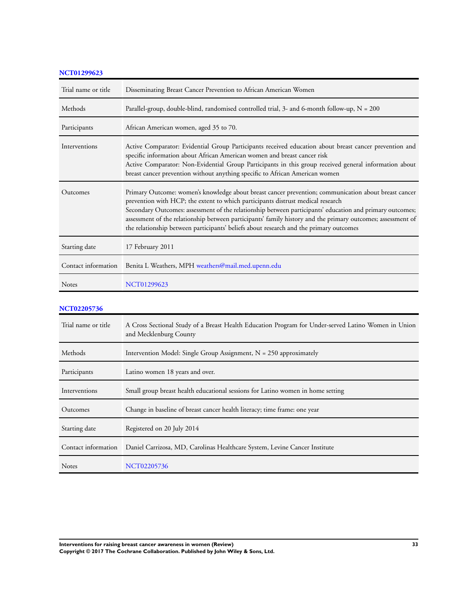| <b>NCT01299623</b>  |                                                                                                                                                                                                                                                                                                                                                                                                                                                                                                              |
|---------------------|--------------------------------------------------------------------------------------------------------------------------------------------------------------------------------------------------------------------------------------------------------------------------------------------------------------------------------------------------------------------------------------------------------------------------------------------------------------------------------------------------------------|
| Trial name or title | Disseminating Breast Cancer Prevention to African American Women                                                                                                                                                                                                                                                                                                                                                                                                                                             |
| Methods             | Parallel-group, double-blind, randomised controlled trial, 3- and 6-month follow-up, $N = 200$                                                                                                                                                                                                                                                                                                                                                                                                               |
| Participants        | African American women, aged 35 to 70.                                                                                                                                                                                                                                                                                                                                                                                                                                                                       |
| Interventions       | Active Comparator: Evidential Group Participants received education about breast cancer prevention and<br>specific information about African American women and breast cancer risk<br>Active Comparator: Non-Evidential Group Participants in this group received general information about<br>breast cancer prevention without anything specific to African American women                                                                                                                                  |
| Outcomes            | Primary Outcome: women's knowledge about breast cancer prevention; communication about breast cancer<br>prevention with HCP; the extent to which participants distrust medical research<br>Secondary Outcomes: assessment of the relationship between participants' education and primary outcomes;<br>assessment of the relationship between participants' family history and the primary outcomes; assessment of<br>the relationship between participants' beliefs about research and the primary outcomes |
| Starting date       | 17 February 2011                                                                                                                                                                                                                                                                                                                                                                                                                                                                                             |
| Contact information | Benita L Weathers, MPH weathers@mail.med.upenn.edu                                                                                                                                                                                                                                                                                                                                                                                                                                                           |
| <b>Notes</b>        | NCT01299623                                                                                                                                                                                                                                                                                                                                                                                                                                                                                                  |

## **[NCT02205736](#page-24-0)**

| Trial name or title | A Cross Sectional Study of a Breast Health Education Program for Under-served Latino Women in Union<br>and Mecklenburg County |
|---------------------|-------------------------------------------------------------------------------------------------------------------------------|
| Methods             | Intervention Model: Single Group Assignment, $N = 250$ approximately                                                          |
| Participants        | Latino women 18 years and over.                                                                                               |
| Interventions       | Small group breast health educational sessions for Latino women in home setting                                               |
| Outcomes            | Change in baseline of breast cancer health literacy; time frame: one year                                                     |
| Starting date       | Registered on 20 July 2014                                                                                                    |
| Contact information | Daniel Carrizosa, MD, Carolinas Healthcare System, Levine Cancer Institute                                                    |
| <b>Notes</b>        | NCT02205736                                                                                                                   |

**Interventions for raising breast cancer awareness in women (Review) 33 Copyright © 2017 The Cochrane Collaboration. Published by John Wiley & Sons, Ltd.**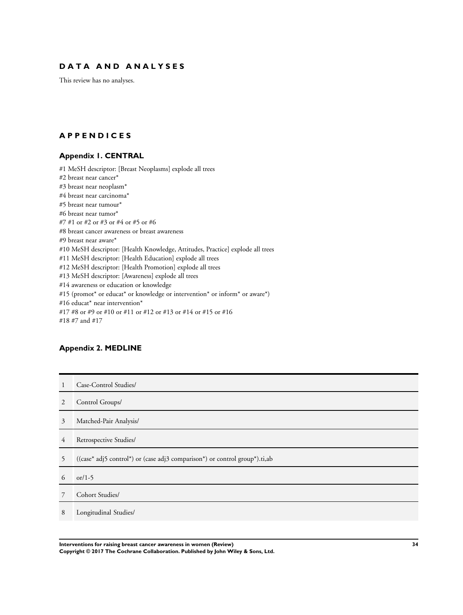## <span id="page-36-0"></span>**D A T A A N D A N A L Y S E S**

This review has no analyses.

## **A P P E N D I C E S**

## **Appendix 1. CENTRAL**

#1 MeSH descriptor: [Breast Neoplasms] explode all trees #2 breast near cancer\* #3 breast near neoplasm\* #4 breast near carcinoma\* #5 breast near tumour\* #6 breast near tumor\* #7 #1 or #2 or #3 or #4 or #5 or #6 #8 breast cancer awareness or breast awareness #9 breast near aware\* #10 MeSH descriptor: [Health Knowledge, Attitudes, Practice] explode all trees #11 MeSH descriptor: [Health Education] explode all trees #12 MeSH descriptor: [Health Promotion] explode all trees #13 MeSH descriptor: [Awareness] explode all trees #14 awareness or education or knowledge #15 (promot\* or educat\* or knowledge or intervention\* or inform\* or aware\*) #16 educat\* near intervention\* #17 #8 or #9 or #10 or #11 or #12 or #13 or #14 or #15 or #16 #18 #7 and #17

## **Appendix 2. MEDLINE**

| -1 | Case-Control Studies/                                                      |
|----|----------------------------------------------------------------------------|
| 2  | Control Groups/                                                            |
| 3  | Matched-Pair Analysis/                                                     |
| 4  | Retrospective Studies/                                                     |
| 5  | ((case* adj5 control*) or (case adj3 comparison*) or control group*).ti,ab |
| 6  | or/1-5                                                                     |
| 7  | Cohort Studies/                                                            |
| 8  | Longitudinal Studies/                                                      |

**Interventions for raising breast cancer awareness in women (Review) 34 Copyright © 2017 The Cochrane Collaboration. Published by John Wiley & Sons, Ltd.**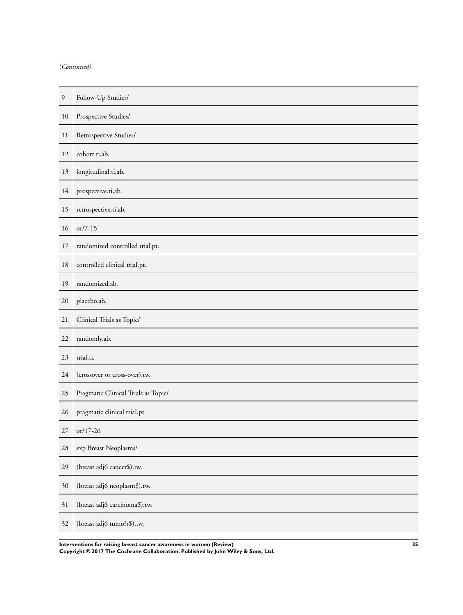| 9  | Follow-Up Studies/                  |
|----|-------------------------------------|
| 10 | Prospective Studies/                |
| 11 | Retrospective Studies/              |
| 12 | cohort.ti,ab.                       |
| 13 | longitudinal.ti,ab.                 |
| 14 | prospective.ti,ab.                  |
| 15 | retrospective.ti,ab.                |
| 16 | $or/7-15$                           |
| 17 | randomized controlled trial.pt.     |
| 18 | controlled clinical trial.pt.       |
| 19 | randomized.ab.                      |
| 20 | placebo.ab.                         |
| 21 | Clinical Trials as Topic/           |
| 22 | randomly.ab.                        |
| 23 | trial.ti.                           |
| 24 | (crossover or cross-over).tw.       |
| 25 | Pragmatic Clinical Trials as Topic/ |
| 26 | pragmatic clinical trial.pt.        |
| 27 | or/17-26                            |
| 28 | exp Breast Neoplasms/               |
| 29 | (breast adj6 cancer\$).tw.          |
| 30 | (breast adj6 neoplasm\$).tw.        |
| 31 | (breast adj6 carcinoma\$).tw.       |
| 32 | (breast adj6 tumo?r\$).tw.          |

**Interventions for raising breast cancer awareness in women (Review) 35 Copyright © 2017 The Cochrane Collaboration. Published by John Wiley & Sons, Ltd.**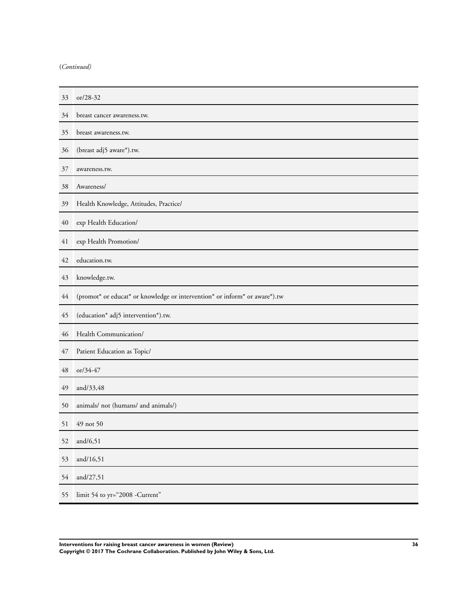| 33 | or/28-32                                                                   |
|----|----------------------------------------------------------------------------|
| 34 | breast cancer awareness.tw.                                                |
| 35 | breast awareness.tw.                                                       |
| 36 | (breast adj5 aware*).tw.                                                   |
| 37 | awareness.tw.                                                              |
| 38 | Awareness/                                                                 |
| 39 | Health Knowledge, Attitudes, Practice/                                     |
| 40 | exp Health Education/                                                      |
| 41 | exp Health Promotion/                                                      |
| 42 | education.tw.                                                              |
| 43 | knowledge.tw.                                                              |
| 44 | (promot* or educat* or knowledge or intervention* or inform* or aware*).tw |
| 45 | (education* adj5 intervention*).tw.                                        |
| 46 | Health Communication/                                                      |
| 47 | Patient Education as Topic/                                                |
| 48 | or/34-47                                                                   |
| 49 | and/33,48                                                                  |
| 50 | animals/ not (humans/ and animals/)                                        |
| 51 | 49 not 50                                                                  |
| 52 | and/ $6,51$                                                                |
| 53 | and/16,51                                                                  |
| 54 | and/27,51                                                                  |
| 55 | limit 54 to yr="2008 -Current"                                             |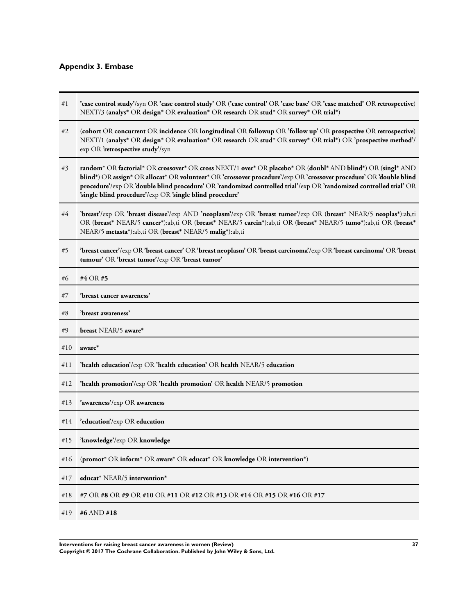## <span id="page-39-0"></span>**Appendix 3. Embase**

#1 **'case control study'**/syn OR **'case control study'** OR (**'case control'** OR **'case base'** OR **'case matched'** OR **retrospective**) NEXT/3 (**analys\*** OR **design\*** OR **evaluation\*** OR **research** OR **stud\*** OR **survey\*** OR **trial\***) #2 (**cohort** OR **concurrent** OR **incidence** OR **longitudinal** OR **followup** OR **'follow up'** OR **prospective** OR **retrospective**) NEXT/1 (**analys\*** OR **design\*** OR **evaluation\*** OR **research** OR **stud\*** OR **survey\*** OR **trial\***) OR **'prospective method'**/ exp OR **'retrospective study'**/syn #3 **random\*** OR **factorial\*** OR **crossover\*** OR **cross** NEXT/1 **over\*** OR **placebo\*** OR (**doubl\*** AND **blind\***) OR (**singl\*** AND **blind\***) OR **assign\*** OR **allocat\*** OR **volunteer\*** OR **'crossover procedure'**/exp OR **'crossover procedure'** OR **'double blind procedure'**/exp OR **'double blind procedure'** OR **'randomized controlled trial'**/exp OR **'randomized controlled trial'** OR **'single blind procedure'**/exp OR **'single blind procedure'** #4 **'breast'**/exp OR **'breast disease'**/exp AND **'neoplasm'**/exp OR **'breast tumor'**/exp OR (**breast\*** NEAR/5 **neoplas\***):ab,ti OR (**breast\*** NEAR/5 **cancer\***):ab,ti OR (**breast\*** NEAR/5 **carcin\***):ab,ti OR (**breast\*** NEAR/5 **tumo\***):ab,ti OR (**breast\*** NEAR/5 **metasta\***):ab,ti OR (**breast\*** NEAR/5 **malig\***):ab,ti #5 **'breast cancer'**/exp OR **'breast cancer'** OR **'breast neoplasm'** OR **'breast carcinoma'**/exp OR **'breast carcinoma'** OR **'breast tumour'** OR **'breast tumor'**/exp OR **'breast tumor'** #6 **#4** OR **#5** #7 **'breast cancer awareness'** #8 **'breast awareness'** #9 **breast** NEAR/5 **aware\*** #10 **aware\*** #11 **'health education'**/exp OR **'health education'** OR **health** NEAR/5 **education** #12 **'health promotion'**/exp OR **'health promotion'** OR **health** NEAR/5 **promotion** #13 **'awareness'**/exp OR **awareness** #14 **'education'**/exp OR **education** #15 **'knowledge'**/exp OR **knowledge** #16 (**promot\*** OR **inform\*** OR **aware\*** OR **educat\*** OR **knowledge** OR **intervention\***) #17 **educat\*** NEAR/5 **intervention\*** #18 **#7** OR **#8** OR **#9** OR **#10** OR **#11** OR **#12** OR **#13** OR **#14** OR **#15** OR **#16** OR **#17** #19 **#6** AND **#18**

**Interventions for raising breast cancer awareness in women (Review) 37 Copyright © 2017 The Cochrane Collaboration. Published by John Wiley & Sons, Ltd.**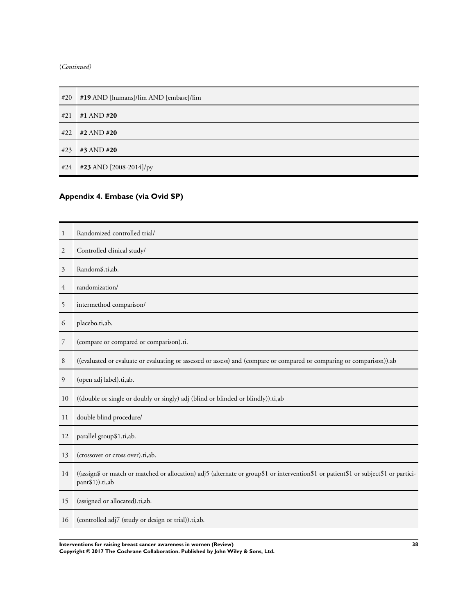<span id="page-40-0"></span>

| #20 | #19 AND [humans]/lim AND [embase]/lim |
|-----|---------------------------------------|
| #21 | #1 AND #20                            |
|     | #22 #2 AND #20                        |
| #23 | #3 AND #20                            |
|     | #24 #23 AND [2008-2014]/py            |

# **Appendix 4. Embase (via Ovid SP)**

| 1  | Randomized controlled trial/                                                                                                                            |
|----|---------------------------------------------------------------------------------------------------------------------------------------------------------|
| 2  | Controlled clinical study/                                                                                                                              |
| 3  | Random\$.ti,ab.                                                                                                                                         |
| 4  | randomization/                                                                                                                                          |
| 5  | intermethod comparison/                                                                                                                                 |
| 6  | placebo.ti,ab.                                                                                                                                          |
| 7  | (compare or compared or comparison).ti.                                                                                                                 |
| 8  | ((evaluated or evaluate or evaluating or assessed or assess) and (compare or compared or comparing or comparison)).ab                                   |
| 9  | (open adj label).ti,ab.                                                                                                                                 |
| 10 | ((double or single or doubly or singly) adj (blind or blinded or blindly)).ti,ab                                                                        |
| 11 | double blind procedure/                                                                                                                                 |
| 12 | parallel group\$1.ti,ab.                                                                                                                                |
| 13 | (crossover or cross over).ti,ab.                                                                                                                        |
| 14 | ((assign\$ or match or matched or allocation) adj5 (alternate or group\$1 or intervention\$1 or patient\$1 or subject\$1 or partici-<br>pant\$1)).ti,ab |
| 15 | (assigned or allocated).ti,ab.                                                                                                                          |
| 16 | (controlled adj7 (study or design or trial)).ti,ab.                                                                                                     |

**Interventions for raising breast cancer awareness in women (Review) 38 Copyright © 2017 The Cochrane Collaboration. Published by John Wiley & Sons, Ltd.**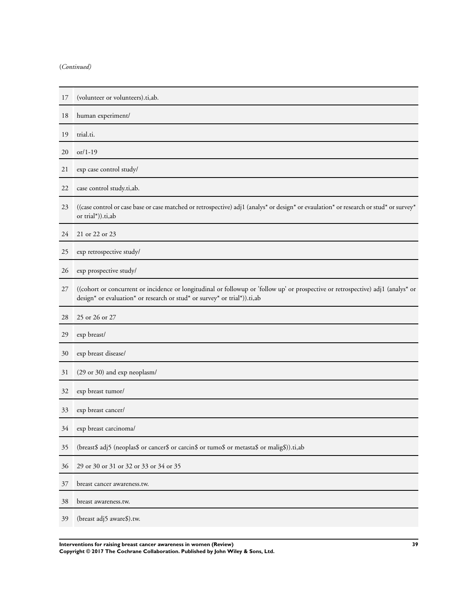| 17 | (volunteer or volunteers).ti,ab.                                                                                                                                                                             |
|----|--------------------------------------------------------------------------------------------------------------------------------------------------------------------------------------------------------------|
| 18 | human experiment/                                                                                                                                                                                            |
| 19 | trial.ti.                                                                                                                                                                                                    |
| 20 | $or/1-19$                                                                                                                                                                                                    |
| 21 | exp case control study/                                                                                                                                                                                      |
| 22 | case control study.ti,ab.                                                                                                                                                                                    |
| 23 | ((case control or case base or case matched or retrospective) adj1 (analys* or design* or evaulation* or research or stud* or survey*<br>or trial*)).ti,ab                                                   |
| 24 | 21 or 22 or 23                                                                                                                                                                                               |
| 25 | exp retrospective study/                                                                                                                                                                                     |
| 26 | exp prospective study/                                                                                                                                                                                       |
| 27 | ((cohort or concurrent or incidence or longitudinal or followup or 'follow up' or prospective or retrospective) adj1 (analys* or<br>design* or evaluation* or research or stud* or survey* or trial*)).ti,ab |
|    |                                                                                                                                                                                                              |
| 28 | 25 or 26 or 27                                                                                                                                                                                               |
| 29 | exp breast/                                                                                                                                                                                                  |
| 30 | exp breast disease/                                                                                                                                                                                          |
| 31 | (29 or 30) and exp neoplasm/                                                                                                                                                                                 |
| 32 | exp breast tumor/                                                                                                                                                                                            |
| 33 | exp breast cancer/                                                                                                                                                                                           |
| 34 | exp breast carcinoma/                                                                                                                                                                                        |
| 35 | (breast\$ adj5 (neoplas\$ or cancer\$ or carcin\$ or tumo\$ or metasta\$ or malig\$)).ti,ab                                                                                                                  |
| 36 | 29 or 30 or 31 or 32 or 33 or 34 or 35                                                                                                                                                                       |
| 37 | breast cancer awareness.tw.                                                                                                                                                                                  |
| 38 | breast awareness.tw.                                                                                                                                                                                         |

**Interventions for raising breast cancer awareness in women (Review) 39 Copyright © 2017 The Cochrane Collaboration. Published by John Wiley & Sons, Ltd.**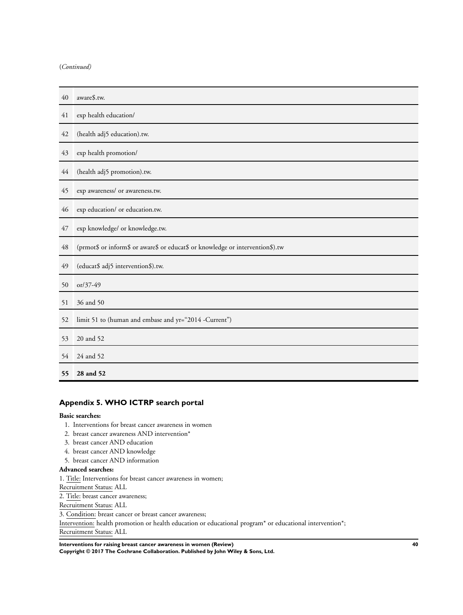<span id="page-42-0"></span>

| 40 | aware\$.tw.                                                                    |
|----|--------------------------------------------------------------------------------|
| 41 | exp health education/                                                          |
| 42 | (health adj5 education).tw.                                                    |
| 43 | exp health promotion/                                                          |
| 44 | (health adj5 promotion).tw.                                                    |
| 45 | exp awareness/ or awareness.tw.                                                |
| 46 | exp education/ or education.tw.                                                |
| 47 | exp knowledge/ or knowledge.tw.                                                |
| 48 | (prmot\$ or inform\$ or aware\$ or educat\$ or knowledge or intervention\$).tw |
| 49 | (educat\$ adj5 intervention\$).tw.                                             |
| 50 | $or/37-49$                                                                     |
| 51 | 36 and 50                                                                      |
| 52 | limit 51 to (human and embase and yr="2014 -Current")                          |
| 53 | 20 and 52                                                                      |
| 54 | 24 and 52                                                                      |
| 55 | 28 and 52                                                                      |

## **Appendix 5. WHO ICTRP search portal**

#### **Basic searches:**

- 1. Interventions for breast cancer awareness in women
- 2. breast cancer awareness AND intervention\*
- 3. breast cancer AND education
- 4. breast cancer AND knowledge
- 5. breast cancer AND information

## **Advanced searches:**

- 1. Title: Interventions for breast cancer awareness in women;
- Recruitment Status: ALL

2. Title: breast cancer awareness;

Recruitment Status: ALL

3. Condition: breast cancer or breast cancer awareness;

Intervention: health promotion or health education or educational program\* or educational intervention\*; Recruitment Status: ALL

**Interventions for raising breast cancer awareness in women (Review) 40**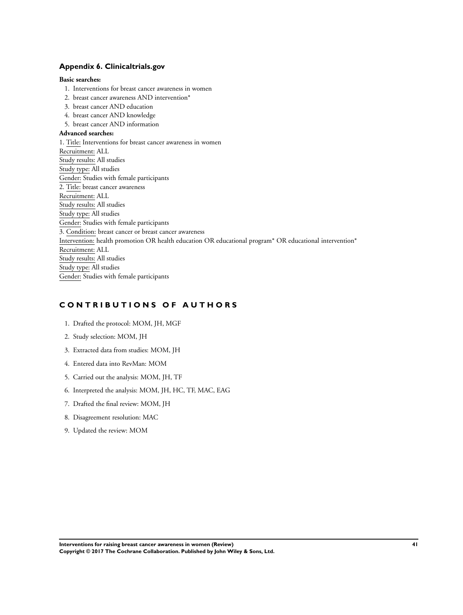## <span id="page-43-0"></span>**Appendix 6. Clinicaltrials.gov**

## **Basic searches:**

- 1. Interventions for breast cancer awareness in women
- 2. breast cancer awareness AND intervention\*
- 3. breast cancer AND education
- 4. breast cancer AND knowledge
- 5. breast cancer AND information

## **Advanced searches:**

1. Title: Interventions for breast cancer awareness in women Recruitment: ALL Study results: All studies Study type: All studies Gender: Studies with female participants 2. Title: breast cancer awareness Recruitment: ALL Study results: All studies Study type: All studies Gender: Studies with female participants 3. Condition: breast cancer or breast cancer awareness Intervention: health promotion OR health education OR educational program\* OR educational intervention\* Recruitment: ALL Study results: All studies Study type: All studies Gender: Studies with female participants

## **C O N T R I B U T I O N S O F A U T H O R S**

- 1. Drafted the protocol: MOM, JH, MGF
- 2. Study selection: MOM, JH
- 3. Extracted data from studies: MOM, JH
- 4. Entered data into RevMan: MOM
- 5. Carried out the analysis: MOM, JH, TF
- 6. Interpreted the analysis: MOM, JH, HC, TF, MAC, EAG
- 7. Drafted the final review: MOM, JH
- 8. Disagreement resolution: MAC
- 9. Updated the review: MOM